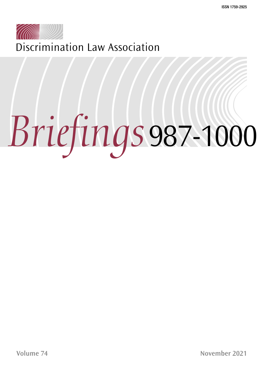

Discrimination Law Association

# *Briefings*987-1000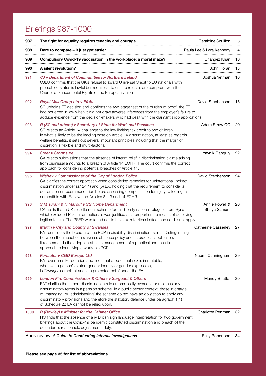# Briefings 987-1000

| 987  | The fight for equality requires tenacity and courage                                                                                                                                                                                                                                                                                                                                                                                                           | Geraldine Scullion              | 3  |
|------|----------------------------------------------------------------------------------------------------------------------------------------------------------------------------------------------------------------------------------------------------------------------------------------------------------------------------------------------------------------------------------------------------------------------------------------------------------------|---------------------------------|----|
| 988  | Dare to compare - it just got easier                                                                                                                                                                                                                                                                                                                                                                                                                           | Paula Lee & Lara Kennedy        | 4  |
| 989  | Compulsory Covid-19 vaccination in the workplace: a moral maze?                                                                                                                                                                                                                                                                                                                                                                                                | Changez Khan                    | 10 |
| 990  | A silent revolution?                                                                                                                                                                                                                                                                                                                                                                                                                                           | John Horan                      | 13 |
| 991  | <b>CJ v Department of Communities for Northern Ireland</b><br>CJEU confirms that the UK's refusal to award Universal Credit to EU nationals with<br>pre-settled status is lawful but requires it to ensure refusals are compliant with the<br>Charter of Fundamental Rights of the European Union                                                                                                                                                              | Joshua Yetman                   | 16 |
| 992  | Royal Mail Group Ltd v Efobi<br>SC upholds ET decision and confirms the two-stage test of the burden of proof; the ET<br>had not erred in law when it did not draw adverse inferences from the employer's failure to<br>adduce evidence from the decision-makers who had dealt with the claimant's job applications.                                                                                                                                           | David Stephenson                | 18 |
| 993  | R (SC and others) v Secretary of State for Work and Pensions<br>SC rejects an Article 14 challenge to the law limiting tax credit to two children.<br>In what is likely to be the leading case on Article 14 discrimination, at least as regards<br>welfare benefits, it sets out several important principles including that the margin of<br>discretion is flexible and multi-factorial.                                                                     | Adam Straw QC                   | 20 |
| 994  | <b>Steer v Stormsure</b><br>CA rejects submissions that the absence of interim relief in discrimination claims arising<br>from dismissal amounts to a breach of Article 14 ECHR. The court confirms the correct<br>approach for considering potential breaches of Article 14.                                                                                                                                                                                  | Yavnik Ganguly                  | 22 |
| 995  | Wisbey v Commissioner of the City of London Police<br>CA clarifies the correct approach when considering remedies for unintentional indirect<br>discrimination under ss124(4) and (5) EA, holding that the requirement to consider a<br>declaration or recommendation before assessing compensation for injury to feelings is<br>compatible with EU law and Articles 8, 13 and 14 ECHR.                                                                        | David Stephenson                | 24 |
| 996  | S M Turani & H Marouf v SS Home Department<br>CA holds that a UK resettlement scheme for third-party national refugees from Syria<br>which excluded Palestinian nationals was justified as a proportionate means of achieving a<br>legitimate aim. The PSED was found not to have extraterritorial effect and so did not apply.                                                                                                                                | Annie Powell &<br>Shriya Samani | 26 |
| 997  | Martin v City and County of Swansea<br>EAT considers the breadth of the PCP in disability discrimination claims. Distinguishing<br>between the impact of a sickness absence policy and its practical application,<br>it recommends the adoption at case management of a practical and realistic<br>approach to identifying a workable PCP.                                                                                                                     | <b>Catherine Casserley</b>      | 27 |
| 998  | Forstater v CGD Europe Ltd<br>EAT overturns ET decision and finds that a belief that sex is immutable,<br>whatever a person's stated gender identity or gender expression,<br>is Grainger-compliant and is a protected belief under the EA.                                                                                                                                                                                                                    | Naomi Cunningham                | 29 |
| 999  | London Fire Commissioner & Others v Sargeant & Others<br>EAT clarifies that a non-discrimination rule automatically overrides or replaces any<br>discriminatory terms in a pension scheme. In a public sector context, those in charge<br>of 'managing' or 'administering' the scheme do not have an obligation to apply any<br>discriminatory provisions and therefore the statutory defence under paragraph 1(1)<br>of Schedule 22 EA cannot be relied upon. | Mandy Bhattal                   | 30 |
| 1000 | R (Rowley) v Minister for the Cabinet Office<br>HC finds that the absence of any British sign language interpretation for two government<br>briefings about the Covid-19 pandemic constituted discrimination and breach of the<br>defendant's reasonable adjustments duty.                                                                                                                                                                                     | Charlotte Pettman               | 32 |
|      | Book review: A Guide to Conducting Internal Investigations                                                                                                                                                                                                                                                                                                                                                                                                     | Sally Robertson                 | 34 |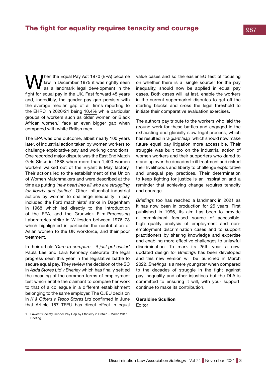<span id="page-2-0"></span>hen the Equal Pay Act 1970 (EPA) became law in December 1975 it was rightly seen as a landmark legal development in the fight for equal pay in the UK. Fast forward 45 years and, incredibly, the gender pay gap persists with the average median gap of all firms reporting to the EHRC in 2020/21 being [10.4%](https://www.bbc.co.uk/news/business-58786739) while particular groups of workers such as older women or Black African women,<sup>1</sup> face an even bigger gap when compared with white British men.

The EPA was one outcome, albeit nearly 100 years later, of industrial action taken by women workers to challenge exploitative pay and working conditions. One recorded major dispute was the [East End Match](https://www.bbc.co.uk/legacies/work/england/london/article_1.shtml)  [Girls Strike in 1888](https://www.bbc.co.uk/legacies/work/england/london/article_1.shtml) when more than 1,400 women workers walked out of the Bryant & May factory. Their actions led to the establishment of the Union of Women Matchmakers and were described at the time as putting *'new heart into all who are struggling for liberty and justice'*. Other influential industrial actions by women to challenge inequality in pay included the Ford machinists' strike in Dagenham in 1968 which led directly to the introduction of the EPA, and the Grunwick Film-Processing Laboratories strike in Willesden between 1976–78 which highlighted in particular the contribution of Asian women to the UK workforce, and their poor treatment.

In their article *'Dare to compare – it just got easier'* Paula Lee and Lara Kennedy celebrate the legal progress seen this year in the legislative battle to secure equal pay. They review the decision of the SC in *[Asda Stores Ltd v Brierley](https://www.bailii.org/uk/cases/UKSC/2021/10.html)* which has finally settled the meaning of the common terms of employment test which entitle the claimant to compare her work to that of a colleague in a different establishment belonging to the same employer. The CJEU decision in *[K & Others v Tesco Stores Ltd](https://www.bailii.org/eu/cases/EUECJ/2021/C62419.html)* confirmed in June that Article 157 TFEU has direct effect in equal value cases and so the easier EU test of focusing on whether there is a 'single source' for the pay inequality, should now be applied in equal pay cases. Both cases will, at last, enable the workers in the current supermarket disputes to get off the starting blocks and cross the legal threshold to initiate their comparative evaluation exercises.

The authors pay tribute to the workers who laid the ground work for these battles and engaged in the exhausting and glacially slow legal process, which has resulted in *'a giant leap'* which should now make future equal pay litigation more accessible. Their struggle was built too on the industrial action of women workers and their supporters who dared to stand up over the decades to ill treatment and risked their livelihoods and liberty to challenge exploitative and unequal pay practices. Their determination to keep fighting for justice is an inspiration and a reminder that achieving change requires tenacity and courage.

*Briefings* too has reached a landmark in 2021 as it has now been in production for 25 years. First published in 1996, its aim has been to provide a complainant focused source of accessible, high quality analysis of employment and nonemployment discrimination cases and to support practitioners by sharing knowledge and expertise and enabling more effective challenges to unlawful discrimination. To mark its 25th year, a new, updated design for *Briefings* has been developed and this new version will be launched in March 2022. *Briefings* is a mere youngster when compared to the decades of struggle in the fight against pay inequality and other injustices but the DLA is committed to ensuring it will, with your support, continue to make its contribution.

### **Geraldine Scullion** Editor

<sup>1</sup> [Fawcett Society Gender Pay Gap by Ethnicity in Britain – March 2017](https://www.fawcettsociety.org.uk/Handlers/Download.ashx?IDMF=f31d6adc-9e0e-4bfe-a3df-3e85605ee4a9)  [Briefing](https://www.fawcettsociety.org.uk/Handlers/Download.ashx?IDMF=f31d6adc-9e0e-4bfe-a3df-3e85605ee4a9)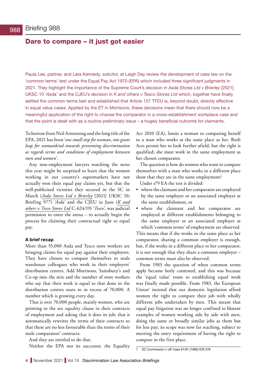## <span id="page-3-0"></span>Dare to compare – it just got easier

Paula Lee, partner, and Lara Kennedy, solicitor, at Leigh Day review the development of case law on the 'common terms' test under the Equal Pay Act 1970 (EPA) which included three significant judgments in 2021. They highlight the importance of the Supreme Court's decision in *Asda Stores Ltd v Brierley* [2021] UKSC 10 *'Asda'* and the CJEU's decision in *K and others v Tesco Stores Ltd* which, together have finally settled the common terms test and established that Article 157 TFEU is, beyond doubt, directly effective in equal value cases. Applied by the ET in *Morrisons*, these decisions mean that there should now be a meaningful application of the right to choose the comparator in a cross-establishment workplace case and that the point is dealt with as a routine preliminary issue – a hugely beneficial outcome for claimants.

To borrow from Neil Armstrong and the long title of the EPA, 2021 has been '*one small step for woman, one giant leap for womankind towards preventing discrimination as regards terms and conditions of employment between men and women'*.

Any non-employment lawyers watching the news this year might be surprised to learn that the women working in our country's supermarkets have not actually won their equal pay claims yet, but that the well-publicised victories they secured in the SC in March (*[Asda Stores Ltd v Brierley](https://www.bailii.org/uk/cases/UKSC/2021/10.html)* [2021] UKSC 10; Briefing 977) *'Asda'* and the CJEU in June (*[K and](https://www.bailii.org/eu/cases/EUECJ/2021/C62419.html)  [others v Tesco Stores Ltd](https://www.bailii.org/eu/cases/EUECJ/2021/C62419.html)* C-624/19) '*Tesco'*, was judicial permission to enter the arena – to actually begin the process for claiming their contractual right to equal pay.

### **A brief recap**

More than 55,000 Asda and Tesco store workers are bringing claims for equal pay against their employers. They have chosen to compare themselves to male warehouse colleagues who work in their employers' distribution centres. Add Morrisons, Sainsbury's and Co-op into the mix and the number of store workers who say that their work is equal to that done in the distribution centres soars to in excess of 70,000. A number which is growing every day.

That is over 70,000 people, mainly women, who are pointing to the sex equality clause in their contracts of employment and asking that it does its job; that it automatically rewrites the terms of their contracts so that these are no less favourable than the terms of their male comparators' contracts.

And they are entitled to do that.

Neither the EPA nor its successor, the Equality

Act 2010 (EA), limits a woman to comparing herself to a man who works at the same place as her. Both Acts permit her to look further afield, but the right is qualified; she must work in the same employment as her chosen comparator.

The question is how do women who want to compare themselves with a man who works in a different place show that they are in the same employment?

Under s79 EA the test is divided:

- where the claimant and her comparator are employed by the same employer or an associated employer at the same establishment, or
- where the claimant and her comparator are employed at different establishments belonging to the same employer or an associated employer at which 'common terms' of employment are observed.

This means that if she works in the same place as her comparator, sharing a common employer is enough, but, if she works in a different place to her comparator, it is not enough that they share a common employer – common terms must also be observed.

From 1983 the question of when common terms apply became hotly contested, and this was because the 'equal value' route to establishing equal work was finally made possible. From 1983, the European Union<sup>1</sup> insisted that our domestic legislation afford women the right to compare their job with wholly different jobs undertaken by men. This meant that equal pay litigation was no longer confined to blatant examples of women working side by side with men, doing the same or broadly similar jobs as them but for less pay; its scope was now far reaching, subject to meeting the entry requirement of having the right to compare in the first place.

<sup>1</sup> *EC Commission v UK* Case 61/81 [1982] ICR 578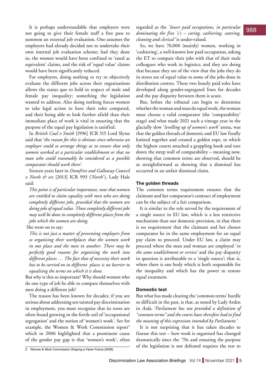It is perhaps understandable that employers were summon an external job evaluation. One assumes the employers had already decided not to undertake their own internal job evaluation scheme; had they done so, the women would have been confined to 'rated as equivalent' claims, and the risk of 'equal value' claims would have been significantly reduced.

For employers, doing nothing to try to objectively evaluate the different jobs across their organisations allows the status quo to hold in respect of male and female pay inequality; something the legislation wanted to address. Also doing nothing forces women to take legal action to have their roles compared, and their being able to look further afield than their immediate place of work is vital in ensuring that the purpose of the equal pay legislation is satisfied.

In *British Coal v Smith* [1996] ICR 515 Lord Slynn said that '*the reason for this is obvious since otherwise an employer could so arrange things as to ensure that only women worked at a particular establishment or that no man who could reasonably be considered as a possible comparator should work there*'.

Sixteen years later in *Dumfries and Galloway Council v North & ors* [2013] ICR 993 ('*North*'), Lady Hale said:

*This point is of particular importance, now that women are entitled to claim equality with men who are doing completely different jobs, provided that the women are doing jobs of equal value. Those completely different jobs may well be done in completely different places from the jobs which the women are doing.*

She went on to say:

*This is not just a matter of preventing employers from so organising their workplaces that the women work in one place and the men in another. There may be perfectly good reasons for organising the work into different places … The fact that of necessity their work has to be carried on in different places is no barrier to equalising the terms on which it is done.*

But why is this so important? Why should women who do one type of job be able to compare themselves with men doing a different job?

The reason has been known for decades; if you are serious about addressing sex-tainted pay discrimination in employment, you must recognise that its roots are often found growing in the fertile soil of 'occupational segregation' and the notion of 'women's work'. See for example, the Women & Work Commission report<sup>2</sup> which in 2006 highlighted that a prominent cause of the gender pay gap is that 'women's work', often

2 Women & Work Commission *Shaping a Fairer Future* (2006)

not going to give their female staff a free pass to *dominating the five 'c's – caring, cashiering, catering*, 988 regarded as the *'lower paid occupations, in particular dominating the five 'c's – caring, cashiering, catering, cleaning and clerical'* is under-valued.

> So, we have 70,000 (mainly) women, working in 'cashiering', a well-known low paid occupation, asking the ET to compare their jobs with that of their male colleagues who work in logistics; and they are doing that because they are of the view that the jobs they do in stores are of equal value to some of the jobs done in distribution centres. These two hourly paid roles have developed along gender-segregated lines for decades and the pay disparity between them is acute.

> But, before the tribunal can begin to determine whether the woman and man do equal work, the woman must choose a valid comparator (the 'comparability' stage) and what made 2021 such a vintage year in the glacially slow '*levelling up of women's work'* arena, was that the golden threads of domestic and EU law finally knitted together and created a golden rope, to which the highest courts attached a grappling hook and tore down the steep wall of comparability – meaning now, showing that common terms are observed, should be as straightforward as showing that a dismissal has occurred in an unfair dismissal claim.

### **The golden threads**

The common terms requirement ensures that the claimant and her comparator's contract of employment can be the subject of a fair comparison.

It is similar to the role served by the requirement of a single source in EU law, which is a less restrictive mechanism than our domestic provision, in that there is no requirement that the claimant and her chosen comparator be in the same employment for an equal pay claim to proceed. Under EU law, a claim may proceed where the man and woman are employed '*in the same establishment or service'* and the pay disparity in question is attributable to a 'single source'; that is, where there is one body which is both responsible for the inequality and which has the power to restore equal treatment.

### **Domestic test**

But what has made clearing the 'common terms' hurdle so difficult in the past, is that, as noted by Lady Arden in *Asda,* '*Parliament has not provided a definition of "common terms" and the courts have therefore had to find the meaning of this expression intended by Parliament.*'

It is not surprising that it has taken decades to finesse this test – how work is organised has changed dramatically since the '70s and ensuring the purpose of the legislation is not defeated requires the test to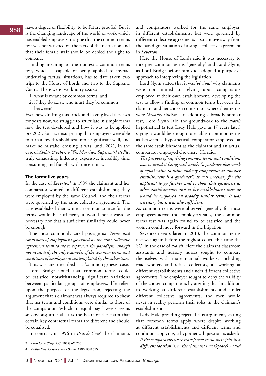is the changing landscape of the world of work which has enabled employers to argue that the common terms test was not satisfied on the facts of their situation and that their female staff should be denied the right to compare.

Finding meaning to the domestic common terms test, which is capable of being applied to myriad underlying factual situations, has to date taken two trips to the House of Lords and two to the Supreme Court. There were two knotty issues:

- 1. what is meant by common terms, and
- 2. if they do exist, who must they be common between?

Even now, drafting this article and having lived the cases for years now, we struggle to articulate in simple terms how the test developed and how it was to be applied pre-2021. So it is unsurprising that employers were able to turn a low threshold test into a significant wall, and make no mistake, crossing it was, until 2021, in the case of *Abdar & others v Wm Morrison Supermarkets Plc*, truly exhausting, hideously expensive, incredibly time consuming and fraught with uncertainty.

### **The formative years**

In the case of *Leverton*<sup>3</sup> in 1989 the claimant and her comparator worked in different establishments; they were employed by the same Council and their terms were governed by the same collective agreement. The case established that while a common source for the terms would be sufficient, it would not always be necessary nor that a sufficient similarity could never be enough.

The most commonly cited passage is: '*Terms and conditions of employment governed by the same collective agreement seem to me to represent the paradigm, though not necessarily the only example, of the common terms and conditions of employment contemplated by the subsection*.'

This was later described as a 'common genesis' case. Lord Bridge noted that common terms could be satisfied notwithstanding significant variations between particular groups of employees. He relied upon the purpose of the legislation, rejecting the argument that a claimant was always required to show that her terms and conditions were similar to those of the comparator. Which to equal pay lawyers seems so obvious; after all it is the heart of the claim that certain key contractual terms are different and should be equalised.

In contrast, in 1996 in *British Coal4* the claimants

 $988$  have a degree of flexibility, to be future proofed. But it and comparators worked for the same employer, in different establishments, but were governed by different collective agreements – so a move away from the paradigm situation of a single collective agreement in *Leverton*.

> Here the House of Lords said it was necessary to interpret common terms 'generally' and Lord Slynn, as Lord Bridge before him did, adopted a purposive approach to interpreting the legislation.

> Lord Slynn stated that it was '*obvious*' why claimants were not limited to relying upon comparators employed at their own establishment, developing the test to allow a finding of common terms between the claimant and her chosen comparator where their terms were '*broadly similar*'. In adopting a broadly similar test, Lord Slynn laid the groundwork to the *North* hypothetical (a test Lady Hale gave us 17 years later) saying it would be enough to establish common terms as between a hypothetical comparator employed at the same establishment as the claimant and an actual comparator employed elsewhere. He said:

*The purpose of requiring common terms and conditions was to avoid it being said simply "a gardener does work of equal value to mine and my comparator at another establishment is a gardener". It was necessary for the applicant to go further and to show that gardeners at other establishments and at her establishment were or would be employed on broadly similar terms. It was necessary but it was also sufficient.*

As common terms were observed generally for most employees across the employer's sites, the common terms test was again found to be satisfied and the women could move forward in the litigation.

Seventeen years later in 2013, the common terms test was again before the highest court, this time the SC, in the case of *North.* Here the claimant classroom assistants and nursery nurses sought to compare themselves with male manual workers, including road workers and refuse collectors, all working at different establishments and under different collective agreements. The employer sought to deny the validity of the chosen comparators by arguing that in addition to working at different establishments and under different collective agreements, the men would never in reality perform their roles in the claimant's establishment.

Lady Hale presiding rejected this argument, stating that common terms apply where despite working at different establishments and different terms and conditions applying, a hypothetical question is asked:

*If the comparators were transferred to do their jobs in a different location (i.e., the claimant's workplace) would* 

<sup>3</sup> *Leverton v Clwyd CC* [1989] AC 706

<sup>4</sup> *British Coal Corporation v Smith* [1996] ICR 515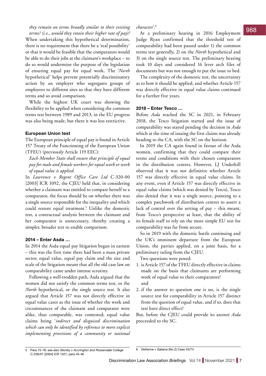*they remain on terms broadly similar to their existing character*'.<sup>6</sup><br>tanno? (i.e., would they natain their higher nata of pay)? At a proliminary boaring in 2016. Employment **988** *terms? (i.e., would they retain their higher rate of pay)?* When undertaking this hypothetical determination, there is no requirement that there be a 'real possibility' or that it would be feasible that the comparators would be able to do their jobs at the claimant's workplace – to do so would undermine the purpose of the legislation of ensuring equal pay for equal work. The '*North* hypothetical' helps prevent potentially discriminatory action by an employer who segregates groups of employees to different sites so that they have different terms and so avoid comparison.

> While the highest UK court was showing the flexibility to be applied when considering the common terms test between 1989 and 2013, in the EU progress was also being made, but there it was less restrictive.

### **European Union test**

The European principle of equal pay is found in Article 157 Treaty of the Functioning of the European Union (TFEU) (previously Article 119 EEC):

*Each Member State shall ensure that principle of equal pay for male and female workers for equal work or work of equal value is applied.* 

In *Lawrence v Regent Office Care Ltd* C-320-00 [2003] ICR 1092, the CJEU held that, in considering whether a claimant was entitled to compare herself to a comparator, the focus should be on whether there was a single source responsible for the inequality and which could restore equal treatment.<sup>5</sup> Unlike the domestic test, a contractual analysis between the claimant and her comparator is unnecessary, thereby creating a simpler, broader test to enable comparison.

### **2014 – Enter Asda …**

In 2014 the Asda equal pay litigation began in earnest – this was the first time there had been a mass private sector, equal value, equal pay claim and the size and scale of the litigation meant that all the old case law on comparability came under intense scrutiny.

Following a well-trodden path, Asda argued that the women did not satisfy the common terms test, or the *North* hypothetical, or the single source test. It also argued that Article 157 was not directly effective in equal value cases as the issue of whether the work and circumstances of the claimant and comparator were alike, thus comparable, was contested; equal value claims being '*indirect and disguised discrimination which can only be identified by reference to more explicit implementing provisions of a community or national* 

At a preliminary hearing in 2016 Employment Judge Ryan confirmed that the threshold test of comparability had been passed under 1) the common terms test generally, 2) on the *North* hypothetical and 3) on the single source test. The preliminary hearing took 10 days and considered 16 lever arch files of documents but was not enough to put the issue to bed.

The complexity of the domestic test, the uncertainty as to how it should be applied, and whether Article 157 was directly effective in equal value claims continued for a further five years.

### **2018 – Enter Tesco …**

Before *Asda* reached the SC in 2021, in February 2018, the Tesco litigation started and the issue of comparability was stayed pending the decision in *Asda* which at the time of issuing the first claims was already heading to the CA, with the SC on the horizon.

In 2019 the CA again found in favour of the Asda women, confirming that they could compare their terms and conditions with their chosen comparators in the distribution centres. However, LJ Underhill observed that it was not definitive whether Article 157 was directly effective in equal value claims. In any event, even if Article 157 was directly effective in equal value claims (which was denied by Tesco), Tesco also denied that it was a single source, pointing to a complex patchwork of distribution centres to assert a lack of control over the setting of pay – this meant, from Tesco's perspective at least, that the ability of its female staff to rely on the more simple EU test for comparability was far from secure.

So in 2019 with the domestic battle continuing and the UK's imminent departure from the European Union, the parties applied, on a joint basis, for a preliminary ruling from the CJEU.

Two questions were posed:

- 1. is Article 157 of the TFEU directly effective in claims made on the basis that claimants are performing work of equal value to their comparators? and
- 2. if the answer to question one is no, is the single source test for comparability in Article 157 distinct from the question of equal value, and if so, does that test have direct effect?

But, before the CJEU could provide its answer *Asda* proceeded to the SC.

<sup>5</sup> Para 15-18; see also *Allonby v Accrington and Rossendale College*  C-256/01 [2004] ICR 1327, para 45-46

<sup>6</sup> *Defrenne v Sabena* (No.2) Case 43/74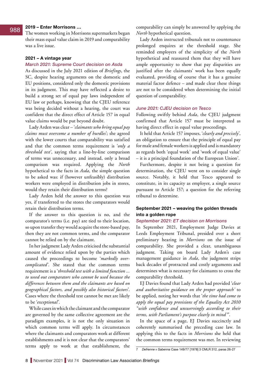### **2019 – Enter Morrisons …**

The women working in Morrisons supermarkets began their mass equal value claim in 2019 and comparability was a live issue.

### **2021 – A vintage year**

### *March 2021: Supreme Court decision on Asda*

As discussed in the July 2021 edition of *Briefings*, the SC, despite hearing arguments on the domestic and EU positions, considered only the domestic provisions in its judgment. This may have reflected a desire to build a strong set of equal pay laws independent of EU law or perhaps, knowing that the CJEU reference was being decided without a hearing, the court was confident that the direct effect of Article 157 in equal value claims would be put beyond doubt.

Lady Arden was clear – '*claimants who bring equal pay claims must overcome a number of hurdles*'; she agreed with the lower courts that comparability was satisfied and that the common terms requirement is '*only a threshold test*', saying that a line-by-line comparison of terms was unnecessary, and instead, only a broad comparison was required. Applying the *North* hypothetical to the facts in *Asda*, the simple question to be asked was: if (however unfeasibly) distribution workers were employed in distribution jobs in stores, would they retain their distribution terms?

Lady Arden held the answer to this question was yes, if transferred to the stores the comparators would retain their distribution terms.

If the answer to this question is no, and the comparator's terms (i.e. pay) are tied to their location, so upon transfer they would acquire the store-based pay, then they are not common terms, and the comparator cannot be relied on by the claimant.

In her judgment Lady Arden criticised the substantial amount of evidence relied upon by the parties which caused the proceedings to become '*markedly overcomplicated*'. She stated that the common terms requirement is a '*threshold test with a limited function ... to weed out comparators who cannot be used because the differences between them and the claimants are based on geographical factors, and possibly also historical factors*'. Cases where the threshold test cannot be met are likely to be '*exceptional*'.

While cases in which the claimant and the comparator are governed by the same collective agreement are the paradigm examples, it is not the only situation in which common terms will apply. In circumstances where the claimants and comparators work at different establishments and it is not clear that the comparators' terms apply to work at that establishment, the

988 2019 - Enter Morrisons ...<br>
988 2019 - Enter Morrisons ...<br>
2019 - Enter Morrisons ... *North* hypothetical question.

> Lady Arden instructed tribunals not to countenance prolonged enquires at the threshold stage. She reminded employers of the simplicity of the *North* hypothetical and reassured them that they will have ample opportunity to show that pay disparities are justified after the claimants' work has been equally evaluated, providing of course that it has a genuine material factor defence – and made clear these things are not to be considered when determining the initial question of comparability.

### *June 2021: CJEU decision on Tesco*

Following swiftly behind *Asda*, the CJEU judgment confirmed that Article 157 must be interpreted as having direct effect in equal value proceedings.

It held that Article 157 imposes, '*clearly and precisely*', an obligation to ensure that the principle of equal pay for male and female workers is applied and is mandatory as regards both 'equal work' and 'work of equal value' – it is a principal foundation of the European Union7 .

Furthermore, despite it not being a question for determination, the CJEU went on to consider single source. Notably, it held that Tesco appeared to constitute, in its capacity as employer, a single source pursuant to Article 157; a question for the referring tribunal to determine.

### **September 2021 – weaving the golden threads into a golden rope**

### *September 2021: ET decision on Morrisons*

In September 2021, Employment Judge Davies at Leeds Employment Tribunal, presided over a short preliminary hearing in *Morrisons* on the issue of comparability. She provided a clear, unambiguous judgment*.* Taking on board Lady Arden's case management guidance in *Asda*, the judgment strips back decades of protracted and costly arguments and determines what is necessary for claimants to cross the comparability threshold.

EJ Davies found that Lady Arden had provided '*clear and authoritative guidance on the proper approach'* to be applied, noting her words that '*the time had come to apply the equal pay provisions of the Equality Act 2010 "with confidence and unswervingly according to their terms, with Parliament's purpose clearly in mind"*'.

In the space of a page, EJ Davies succinctly and coherently summarised the preceding case law. In applying this to the facts in *Morrisons* she held that the common terms requirement was met. In reviewing

<sup>7</sup> *Defrenne v Sabenna* Case 149/77 [1978] 3 CMLR 312, paras 26-27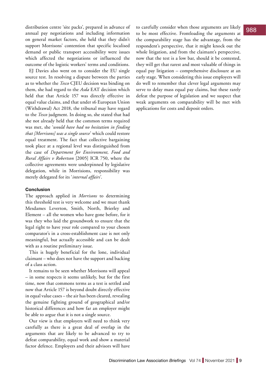distribution centre 'site packs', prepared in advance of annual pay negotiations and including information on general market factors, she held that they didn't support Morrisons' contention that specific localised demand or public transport accessibility were issues which affected the negotiations or influenced the outcome of the logistic workers' terms and conditions.

EJ Davies also went on to consider the EU single source test. In resolving a dispute between the parties as to whether the *Tesco* CJEU decision was binding on them, she had regard to the *Asda* EAT decision which held that that Article 157 was directly effective in equal value claims, and that under s6 European Union (Withdrawal) Act 2018, the tribunal may have regard to the *Tesco* judgment. In doing so, she stated that had she not already held that the common terms required was met, she '*would have had no hesitation in finding that [Morrisons] was a single source*' which could restore equal treatment. The fact that collective bargaining took place at a regional level was distinguished from the case of *Department for Environment, Food and Rural Affairs v Robertson* [2005] ICR 750, where the collective agreements were underpinned by legislative delegation, while in Morrisions, responsibility was merely delegated for its '*internal affairs*'.

### **Conclusion**

The approach applied in *Morrisons* to determining this threshold test is very welcome and we must thank Mesdames Leverton, Smith, North, Brierley and Element – all the women who have gone before, for it was they who laid the groundwork to ensure that the legal right to have your role compared to your chosen comparator's in a cross-establishment case is not only meaningful, but actually accessible and can be dealt with as a routine preliminary issue.

This is hugely beneficial for the lone, individual claimant – who does not have the support and backing of a class action.

It remains to be seen whether Morrisons will appeal – in some respects it seems unlikely, but for the first time, now that commons terms as a test is settled and now that Article 157 is beyond doubt directly effective in equal value cases – the air has been cleared, revealing the genuine fighting ground of geographical and/or historical differences and how far an employer might be able to argue that it is not a single source.

Our view is that employers will need to think very carefully as there is a great deal of overlap in the arguments that are likely to be advanced to try to defeat comparability, equal work and show a material factor defence. Employers and their advisors will have

to carefully consider when those arguments are likely to be most effective. Frontloading the arguments at the comparability stage has the advantage, from the respondent's perspective, that it might knock out the whole litigation, and from the claimant's perspective, now that the test is a low bar, should it be contested, they will get that rarest and most valuable of things in equal pay litigation – comprehensive disclosure at an early stage. When considering this issue employers will do well to remember that clever legal arguments may serve to delay mass equal pay claims, but these rarely defeat the purpose of legislation and we suspect that weak arguments on comparability will be met with applications for costs and deposit orders.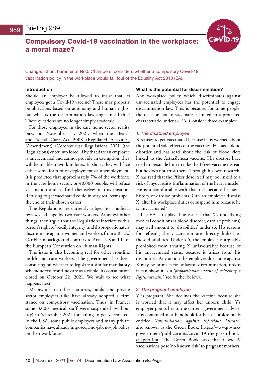# <span id="page-9-0"></span>Compulsory Covid-19 vaccination in the workplace: a moral maze?



Changez Khan, barrister at No.5 Chambers, considers whether a compulsory Covid-19 vaccination policy in the workplace would fall foul of the Equality Act 2010 (EA).

### **Introduction**

Should an employer be allowed to insist that its employees get a Covid-19 vaccine? There may properly be objections based on autonomy and human rights, but what is the discrimination law angle in all this? These questions are no longer simply academic.

For those employed in the care home sector reality bites on November 11, 2021, when the [Health](https://www.legislation.gov.uk/uksi/2021/891/contents/made)  [and Social Care Act 2008 \(Regulated Activities\)](https://www.legislation.gov.uk/uksi/2021/891/contents/made)  [\(Amendment\) \(Coronavirus\) Regulations 2021](https://www.legislation.gov.uk/uksi/2021/891/contents/made) (the Regulations) enter into force. If by that date an employee is unvaccinated and cannot provide an exemption, they will be unable to work indoors. In short, they will face either some form of re-deployment or unemployment. It is predicted that approximately 7% of the workforce in the care home sector, or 40,000 people, will refuse vaccination and so find themselves in this position. Refusing to get vaccinated could in very real terms spell the end of their chosen career.

The Regulations are currently subject to a judicial review challenge by two care workers. Amongst other things, they argue that the Regulations interfere with a person's right to 'bodily integrity' and disproportionately discriminate against women and workers from a Black/ Caribbean background contrary to Articles 8 and 14 of the European Convention on Human Rights.

The issue is also becoming real for other frontline health and care workers. The government has been consulting on whether to legislate a similar mandatory scheme across frontline care as a whole. Its consultation closed on October 22, 2021. We wait to see what happens next.

Meanwhile, in other countries, public and private sector employers alike have already adopted a firm stance on compulsory vaccination. Thus, in France, some 3,000 medical staff were suspended (without pay) in September 2021 for failing to get vaccinated. In the USA, some public employers and many private companies have already imposed a no-jab, no-job policy on their workforces.

### **What is the potential for discrimination?**

Any workplace policy which discriminates against unvaccinated employees has the potential to engage discrimination law. This is because, for some people, the decision not to vaccinate is linked to a protected characteristic under s4 EA. Consider three examples:

### *1. The disabled employee*

X refuses to get vaccinated because he is worried about the potential side-effects of the vaccines. He has a blood disorder and has read about the risk of blood clots linked to the AstraZeneca vaccine. His doctors have tried to persuade him to take the Pfizer vaccine instead but he does not trust them. Through his own research, X has read that the Pfizer dose itself may be linked to a risk of myocarditis (inflammation of the heart muscle). He is uncomfortable with that risk because he has a history of cardiac problems. Can an employer dismiss X, alter his workplace duties or suspend him because he is unvaccinated?

The EA is in play. The issue is that X's underlying medical conditions (a blood disorder, cardiac problems) may well amount to 'disabilities' under s6. His reasons for refusing the vaccination are directly linked to those disabilities. Under s15, the employer is arguably prohibited from treating X unfavourably because of his unvaccinated status because it 'arises from' his disabilities. Any action the employer does take against X may be prima facie unlawful discrimination, unless it can show it is a '*proportionate means of achieving a legitimate aim'* (see further below).

### *2. The pregnant employee*

Y is pregnant. She declines the vaccine because she is worried that it may affect her unborn child. Y's employer points her to the current government advice. It is contained in a handbook for health professionals entitled '*Immunisation against Infectious Disease*', also known as the Green Book: [https://www.gov.uk/](https://www.gov.uk/government/publications/covid-19-the-green-book-chapter-14a) [government/publications/covid-19-the-green-book](https://www.gov.uk/government/publications/covid-19-the-green-book-chapter-14a)[chapter-14a](https://www.gov.uk/government/publications/covid-19-the-green-book-chapter-14a). The Green Book says that Covid-19 vaccinations pose 'no known risk' to pregnant mothers.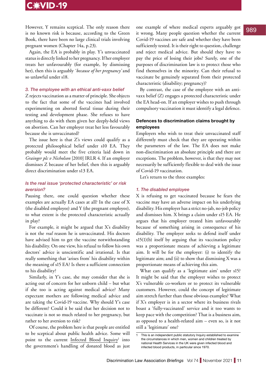# C: VID-19

However, Y remains sceptical. The only reason there is no known risk is because, according to the Green Book, there have been no large clinical trials involving pregnant women (Chapter 14a, p.23).

Again, the EA is probably in play. Y's unvaccinated status is directly linked to her pregnancy. If her employer treats her unfavourably (for example, by dismissing her), then this is arguably *'because of her pregnancy'* and so unlawful under s18.

### *3. The employee with an ethical anti-vaxx belief*

Z rejects vaccination as a matter of principle. She objects to the fact that some of the vaccines had involved experimenting on aborted foetal tissue during their testing and development phase. She refuses to have anything to do with them given her deeply-held views on abortion. Can her employer treat her less favourably because she is unvaccinated?

The issue here is that Z's views could qualify as a protected philosophical belief under s10 EA. They probably would meet the five criteria laid down in *Grainger plc v Nicholson* [2010] IRLR 4. If an employer dismisses Z because of her belief, then this is arguably direct discrimination under s13 EA.

### *Is the real issue 'protected characteristic' or risk aversion?*

Pausing there, one could question whether these examples are actually EA cases at all? In the case of X (the disabled employee) and Y (the pregnant employee), to what extent is the protected characteristic actually in play?

For example, it might be argued that X's disability is not the *real* reason he is unvaccinated. His doctors have advised him to get the vaccine notwithstanding his disability. On one view, his refusal to follow his own doctors' advice is unscientific and irrational. Is that really something that 'arises from' his disability within the meaning of s15 EA? Is there a sufficient connection to his disability?

Similarly, in Y's case, she may consider that she is acting out of concern for her unborn child – but what if she too is acting against medical advice? Many expectant mothers are following medical advice and are taking the Covid-19 vaccine. Why should Y's case be different? Could it be said that her decision not to vaccinate is not so much related to her pregnancy, but rather to her aversion to risk?

Of course, the problem here is that people are entitled to be sceptical about public health advice. Some will point to the current Infected Blood Inquiry<sup>1</sup> into the government's handling of donated blood as just

one example of where medical experts arguably got it wrong. Many people question whether the current Covid-19 vaccines are safe and whether they have been sufficiently tested. It is their right to question, challenge and reject medical advice. But should they have to pay the price of losing their jobs? Surely, one of the purposes of discrimination law is to protect those who find themselves in the minority. Can their refusal to vaccinate be genuinely separated from their protected characteristic (disability; pregnancy)?

By contrast, the case of the employee with an antivaxx belief (Z) engages a protected characteristic under the EA head-on. If an employer wishes to push through compulsory vaccination it must identify a legal defence.

### **Defences to discrimination claims brought by employees**

Employers who wish to treat their unvaccinated staff differently must check that they are operating within the parameters of the law. The EA does not make non-discrimination an absolute principle and there are exceptions. The problem, however, is that they may not necessarily be sufficiently flexible to deal with the issue of Covid-19 vaccination.

Let's return to the three examples:

### *1. The disabled employee*

X is refusing to get vaccinated because he fears the vaccine may have an adverse impact on his underlying disability. His employer has a strict no-jab, no-job policy and dismisses him. X brings a claim under s15 EA. He argues that his employer treated him unfavourably because of something arising in consequence of his disability. The employer seeks to defend itself under  $s15(1)(b)$  itself by arguing that its vaccination policy was a proportionate means of achieving a legitimate aim. It will be for the employer: (i) to identify the legitimate aim; and (ii) to show that dismissing X was a proportionate means of achieving this aim.

What can qualify as a 'legitimate aim' under s15? It might be said that the employer wishes to protect X's vulnerable co-workers or to protect its vulnerable customers. However, could the concept of legitimate aim stretch further than those obvious examples? What if X's employer is in a sector where its business rivals boast a 'fully-vaccinated' service and it too wants to keep pace with the competition? That is a business aim, as opposed to a health-related aim – even so, is it not still a 'legitimate' one?

<sup>1</sup> This is an independent public statutory Inquiry established to examine the circumstances in which men, women and children treated by national Health Services in the UK were given infected blood and infected blood products, in particular since 1970.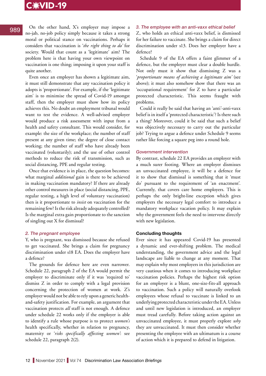# C: VID-19

### On the other hand, X's employer may impose a no-jab, no-job policy simply because it takes a strong moral or political stance on vaccinations. Perhaps it considers that vaccination is '*the right thing to do'* for society. Would that count as a 'legitimate' aim? The problem here is that having your own viewpoint on vaccination is one thing; imposing it upon your staff is quite another.

Even once an employer has shown a legitimate aim, it must still demonstrate that any vaccination policy it adopts is 'proportionate'. For example, if the 'legitimate aim' is to minimise the spread of Covid-19 amongst staff, then the employer must show how its policy achieves this. No doubt an employment tribunal would want to test the evidence. A well-advised employer would produce a risk assessment with input from a health and safety consultant. This would consider, for example: the size of the workplace; the number of staff present at any given time; the degree of close contact working; the number of staff who have already been vaccinated (voluntarily); and the use of other control methods to reduce the risk of transmission, such as social distancing, PPE and regular testing.

Once that evidence is in place, the question becomes: what marginal *additional* gain is there to be achieved in making vaccination mandatory? If there are already other control measures in place (social distancing, PPE, regular testing, a high level of voluntary vaccination) then is it proportionate to *insist* on vaccination for the remaining few? Is the risk already adequately controlled? Is the marginal extra gain proportionate to the sanction of singling out X for dismissal?

### *2. The pregnant employee*

Y, who is pregnant, was dismissed because she refused to get vaccinated. She brings a claim for pregnancy discrimination under s18 EA. Does the employer have a defence?

The grounds for defence here are even narrower. Schedule 22, paragraph 2 of the EA would permit the employer to discriminate only if it was 'required to' dismiss Z in order to comply with a legal provision concerning the protection of women at work. Z's employer would not be able to rely upon a generic healthand-safety justification. For example, an argument that vaccination protects *all* staff is not enough. A defence under schedule 22 works only if the employer is able to identify a rule whose purpose is to protect *women's* health specifically, whether in relation to pregnancy, maternity or '*risks specifically affecting women'*: see schedule 22, paragraph 2(2).

### *3. The employee with an anti-vaxx ethical belief*

Z, who holds an ethical anti-vaxx belief, is dismissed for her failure to vaccinate. She brings a claim for direct discrimination under s13. Does her employer have a defence?

Schedule 9 of the EA offers a faint glimmer of a defence, but the employer must clear a double hurdle. Not only must it show that dismissing Z was a '*proportionate means of achieving a legitimate aim'* (see above); it must also somehow show that there was an 'occupational requirement' for Z to have a particular protected characteristic. This seems fraught with problems.

Could it really be said that having an 'anti'-anti-vaxx belief is in itself a 'protected characteristic'? Is there such a thing? Moreover, could it be said that such a belief was objectively necessary to carry out the particular job? Trying to argue a defence under Schedule 9 seems rather like forcing a square peg into a round hole.

### *Government intervention*

By contrast, schedule 22 EA provides an employer with a much surer footing. Where an employer dismisses an unvaccinated employee, it will be a defence for it to show that dismissal is something that it 'must do' pursuant to the requirement of 'an enactment'. Currently, that covers care home employers. This is perhaps the only bright-line exception which gives employers the necessary legal comfort to introduce a mandatory workplace vacation policy. It may explain why the government feels the need to intervene directly with new legislation.

### **Concluding thoughts**

Ever since it has appeared Covid-19 has presented a dynamic and ever-shifting problem. The medical understanding, the government advice and the legal landscape are liable to change at any moment. That may explain why most employers in this jurisdiction are very cautious when it comes to introducing workplace vaccination policies. Perhaps the highest risk option for an employer is a blunt, one-size-fits-all approach to vaccination. Such a policy will naturally overlook employees whose refusal to vaccinate is linked to an underlying protected characteristic under the EA. Unless and until new legislation is introduced, an employer must tread carefully. Before taking action against an unvaccinated employee, it must properly explore *why* they are unvaccinated. It must then consider whether presenting the employee with an ultimatum is a course of action which it is prepared to defend in litigation.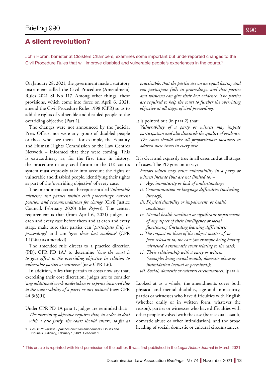# <span id="page-12-0"></span>A silent revolution?

John Horan, barrister at Cloisters Chambers, examines some important but underreported changes to the Civil Procedure Rules that will improve disabled and vulnerable people's experiences in the courts.\*

On January 28, 2021, the government made a statutory instrument called the Civil Procedure (Amendment) Rules 2021 SI No 117. Among other things, these provisions, which come into force on April 6, 2021, amend the Civil Procedure Rules 1998 (CPR) so as to add the rights of vulnerable and disabled people to the overriding objective (Part 1).

The changes were not announced by the Judicial Press Office, nor were any group of disabled people or those who love them – for example, the Equality and Human Rights Commission or the Law Centres Network – informed that they were coming. This is extraordinary as, for the first time in history, the procedure in any civil forum in the UK courts system must expressly take into account the rights of vulnerable and disabled people, identifying their rights as part of the 'overriding objective' of every case.

The amendments action the report entitled *Vulnerable [witnesses and parties within civil proceedings: current](https://www.judiciary.uk/wp-content/uploads/2020/02/VulnerableWitnessesandPartiesFINALFeb2020-1.pdf)  [position and recommendations for change](https://www.judiciary.uk/wp-content/uploads/2020/02/VulnerableWitnessesandPartiesFINALFeb2020-1.pdf)* (Civil Justice Council, February 2020) (the *Report*). The central requirement is that (from April 6, 2021) judges, in each and every case before them and at each and every stage, make sure that parties can '*participate fully in proceedings*' and can '*give their best evidence'* (CPR 1.1(2)(a) as amended).

The amended rule directs to a practice direction (PD), CPR PD 1A,<sup>1</sup> to determine *'how the court is to give effect to the overriding objective in relation to vulnerable parties or witnesses'* (new CPR 1.6).

In addition, rules that pertain to costs now say that, exercising their cost discretion, judges are to consider '*any additional work undertaken or expense incurred due to the vulnerability of a party or any witness'* (new CPR  $44.3(5)(f)$ ).

Under CPR PD 1A para 1, judges are reminded that: *The overriding objective requires that, in order to deal with a case justly, the court should ensure, so far as* 

*practicable, that the parties are on an equal footing and can participate fully in proceedings, and that parties and witnesses can give their best evidence. The parties are required to help the court to further the overriding objective at all stages of civil proceedings.*

### It is pointed out (in para 2) that:

*Vulnerability of a party or witness may impede participation and also diminish the quality of evidence. The court should take all proportionate measures to address these issues in every case.*

It is clear and expressly true in all cases and at all stages of cases. The PD goes on to say:

*Factors which may cause vulnerability in a party or witness include (but are not limited to) –*

- *i. Age, immaturity or lack of understanding;*
- *ii. Communication or language difficulties (including literacy);*
- *iii. Physical disability or impairment, or health condition;*
- *iv. Mental health condition or significant impairment of any aspect of their intelligence or social functioning (including learning difficulties);*
- *v. The impact on them of the subject matter of, or facts relevant to, the case (an example being having witnessed a traumatic event relating to the case);*
- *vi. Their relationship with a party or witness (examples being sexual assault, domestic abuse or intimidation (actual or perceived));*
- *vii. Social, domestic or cultural circumstances.* [para 4]

Looked at as a whole, the amendments cover both physical and mental disability, age and immaturity, parties or witnesses who have difficulties with English (whether orally or in written form, whatever the reason), parties or witnesses who have difficulties with other people involved with the case (be it sexual assault, domestic abuse or other intimidation), and the broad heading of social, domestic or cultural circumstances.

\* This article is reprinted with kind permission of the author. It was first published in the *Legal Action Journa*l in March 2021.

<sup>1</sup> *See [127th update – practice direction amendments](https://www.judiciary.uk/announcements/127th-update-practice-direction-amendments/)*, Courts and Tribunals Judiciary, February 1, 2021, Schedule 1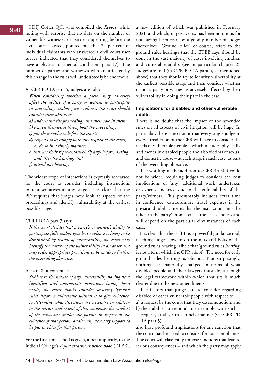HHJ Cotter QC, who compiled the *Report*, while noting with surprise that no data on the number of vulnerable witnesses or parties appearing before the civil courts existed, pointed out that 25 per cent of individual claimants who answered a civil court user survey indicated that they considered themselves to have a physical or mental condition (para 17). The number of parties and witnesses who are affected by this change in the rules will undoubtedly be enormous.

### At CPR PD 1A para 5, judges are told:

*When considering whether a factor may adversely affect the ability of a party or witness to participate in proceedings and/or give evidence, the court should consider their ability to –*

- *a) understand the proceedings and their role in them;*
- *b) express themselves throughout the proceedings;*
- *c) put their evidence before the court;*
- *d) respond to or comply with any request of the court, or do so in a timely manner;*
- *e) instruct their representative/s (if any) before, during and after the hearing; and*
- *f) attend any hearing.*

The widest scope of interactions is expressly rehearsed for the court to consider, including instructions to representatives at any stage. It is clear that the PD requires that judges now look at aspects of the proceedings and identify vulnerability at the earliest possible stage.

### CPR PD 1A para 7 says:

*If the court decides that a party's or witness's ability to participate fully and/or give best evidence is likely to be diminished by reason of vulnerability, the court may identify the nature of the vulnerability in an order and may order appropriate provisions to be made to further the overriding objective.*

### At para 8, it continues:

*Subject to the nature of any vulnerability having been identified and appropriate provisions having been made, the court should consider ordering 'ground rules' before a vulnerable witness is to give evidence, to determine what directions are necessary in relation to the nature and extent of that evidence, the conduct of the advocates and/or the parties in respect of the evidence of that person, and/or any necessary support to be put in place for that person.*

For the first time, a nod is given, albeit implicitly, to the Judicial College's *[Equal treatment bench book](https://www.judiciary.uk/wp-content/uploads/2021/02/Equal-Treatment-Bench-Book-February-2021-1.pdf)* (ETBB),

a new edition of which was published in February 2021, and which, in past years, has been notorious for not having been read by a goodly number of judges themselves. 'Ground rules', of course, refers to the ground rules hearings that the ETBB says should be done in the vast majority of cases involving children and vulnerable adults (see in particular chapter 2). Judges are told (in CPR PD 1A para 5, as mentioned above) that they should try to identify vulnerability at the earliest possible stage and then consider whether or not a party or witness is adversely affected by their vulnerability in doing their part in the case.

### **Implications for disabled and other vulnerable adults**

There is no doubt that the impact of the amended rules on all aspects of civil litigation will be huge. In particular, there is no doubt that every single judge in every jurisdiction of the CPR will have to consider the needs of vulnerable people – which includes physically and mentally disabled people and also victims of sexual and domestic abuse – at each stage in each case, as part of the overriding objective.

The wording in the addition to CPR 44.3(5) could not be wider, requiring judges to consider the cost implications of 'any' additional work undertaken or expense incurred due to the vulnerability of the party/witness. This presumably includes extra time in conference, extraordinary travel expenses if the physical disability means that the instructions must be taken in the party's home, etc. – the list is endless and will depend on the particular circumstances of each case.

It is clear that the ETBB is a powerful guidance tool, teaching judges how to do the nuts and bolts of the ground rules hearing (albeit that 'ground rules *hearing*' is not a term which the CPR adopt). The need for early ground rules hearings is obvious. Not surprisingly, nothing has materially changed in terms of what disabled people and their lawyers must do, although the legal framework within which that sits is much clearer due to the new amendments.

The factors that judges are to consider regarding disabled or other vulnerable people with respect to:

- a) a request by the court that they do some action; and
- b) their ability to respond to or comply with such a request, at all or in a timely manner (see CPR PD 1A para 5),

also have profound implications for any sanction that the court may be asked to consider for non-compliance. The court will classically impose sanctions that lead to serious consequences – and which the party may apply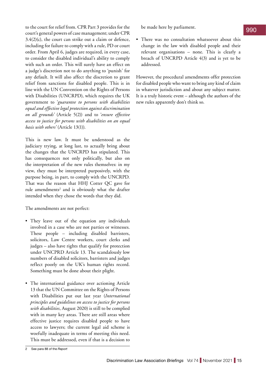to the court for relief from. CPR Part 3 provides for the court's general powers of case management; under CPR  $3.4(2)(c)$ , the court can strike out a claim or defence, including for failure to comply with a rule, PD or court order. From April 6, judges are required, in every case, to consider the disabled individual's ability to comply with such an order. This will surely have an effect on a judge's discretion not to do anything to 'punish' for any default. It will also affect the discretion to grant relief from sanctions for disabled people. This is in line with the [UN Convention on the Rights of Persons](https://www.un.org/development/desa/disabilities/convention-on-the-rights-of-persons-with-disabilities.html)  [with Disabilities](https://www.un.org/development/desa/disabilities/convention-on-the-rights-of-persons-with-disabilities.html) (UNCRPD), which requires the UK government to '*guarantee to persons with disabilities equal and effective legal protection against discrimination on all grounds'* (Article 5(2)) and to '*ensure effective access to justice for persons with disabilities on an equal basis with others'* (Article 13(1)).

This is new law. It must be understood as the judiciary trying, at long last, to actually bring about the changes that the UNCRPD has stipulated. This has consequences not only politically, but also on the interpretation of the new rules themselves: in my view, they must be interpreted purposively, with the purpose being, in part, to comply with the UNCRPD. That was the reason that HHJ Cotter QC gave for rule amendments<sup>2</sup> and is obviously what the drafter intended when they chose the words that they did.

The amendments are not perfect:

- They leave out of the equation any individuals involved in a case who are not parties or witnesses. These people – including disabled barristers, solicitors, Law Centre workers, court clerks and judges – also have rights that qualify for protection under UNCPRD Article 13. The scandalously low numbers of disabled solicitors, barristers and judges reflect poorly on the UK's human rights record. Something must be done about their plight.
- The international guidance over actioning Article 13 that the UN Committee on the Rights of Persons with Disabilities put out last year (*[International](https://www.un.org/development/desa/disabilities/wp-content/uploads/sites/15/2020/10/Access-to-Justice-EN.pdf)  [principles and guidelines on access to justice for persons](https://www.un.org/development/desa/disabilities/wp-content/uploads/sites/15/2020/10/Access-to-Justice-EN.pdf)  [with disabilities](https://www.un.org/development/desa/disabilities/wp-content/uploads/sites/15/2020/10/Access-to-Justice-EN.pdf)*, August 2020) is still to be complied with in many key areas. There are still areas where effective justice requires disabled people to have access to lawyers; the current legal aid scheme is woefully inadequate in terms of meeting this need. This must be addressed, even if that is a decision to

be made here by parliament.

• There was no consultation whatsoever about this change in the law with disabled people and their relevant organisations – none. This is clearly a breach of UNCRPD Article 4(3) and is yet to be addressed.

However, the procedural amendments offer protection for disabled people who want to bring any kind of claim in whatever jurisdiction and about any subject matter. It is a truly historic event – although the authors of the new rules apparently don't think so.

<sup>2</sup> See para 88 of the *Report*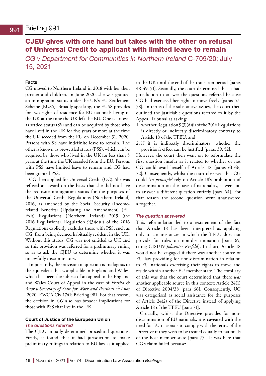# <span id="page-15-0"></span>CJEU gives with one hand but takes with the other on refusal of Universal Credit to applicant with limited leave to remain

*CG v Department for Communities in Northern Ireland* C-709/20; July 15, 2021

### **Facts**

CG moved to Northern Ireland in 2018 with her then partner and children. In June 2020, she was granted an immigration status under the UK's EU Settlement Scheme (EUSS). Broadly speaking, the EUSS provides for two rights of residence for EU nationals living in the UK at the time the UK left the EU. One is known as settled status (SS) and can be acquired by those who have lived in the UK for five years or more at the time the UK seceded from the EU on December 31, 2020. Persons with SS have indefinite leave to remain. The other is known as pre-settled status (PSS), which can be acquired by those who lived in the UK for less than 5 years at the time the UK seceded from the EU. Persons with PSS have limited leave to remain and CG had been granted PSS.

CG then applied for Universal Credit (UC). She was refused an award on the basis that she did not have the requisite immigration status for the purposes of the Universal Credit Regulations (Northern Ireland) 2016, as amended by the Social Security (Incomerelated Benefits) (Updating and Amendment) (EU Exit) Regulations (Northern Ireland) 2019 (the 2016 Regulations). Regulation 9(3)(d)(i) of the 2016 Regulations explicitly excludes those with PSS, such as CG, from being deemed habitually resident in the UK. Without this status, CG was not entitled to UC and so this provision was referred for a preliminary ruling so as to ask the CJEU to determine whether it was unlawfully discriminatory.

Importantly, the provision in question is analogous to the equivalent that is applicable in England and Wales, which has been the subject of an appeal to the England and Wales Court of Appeal in the case of *Fratila & Anor v Secretary of State for Work and Pensions & Anor* [2020] EWCA Civ 1741; Briefing 981. For that reason, the decision in *CG* also has broader implications for those with PSS that live in the UK.

### **Court of Justice of the European Union**

### *The questions referred*

The CJEU initially determined procedural questions. Firstly, it found that it had jurisdiction to make preliminary rulings in relation to EU law as it applied in the UK until the end of the transition period [paras 48-49, 51]. Secondly, the court determined that it had jurisdiction to answer the questions referred because CG had exercised her right to move freely [paras 57- 58]. In terms of the substantive issues, the court then outlined the justiciable questions referred to it by the Appeal Tribunal as asking:

- 1. whether Regulation 9(3)(d)(i) of the 2016 Regulations is directly or indirectly discriminatory contrary to Article 18 of the TFEU, and
- 2. if it is indirectly discriminatory, whether the provision's effect can be justified [paras 39, 52].

However, the court then went on to reformulate the first question insofar as it related to whether or not CG could avail herself of Article 18 [paras 61-66, 72]. Consequently, whilst the court observed that CG could '*in principle'* rely on Article 18's prohibition of discrimination on the basis of nationality, it went on to answer a different question entirely [para 64]. For that reason the second question went unanswered altogether.

### *The question answered*

This reformulation led to a restatement of the fact that Article 18 has been interpreted as applying only to circumstances in which the TFEU does not provide for rules on non-discrimination [para 65, citing C181/19 *Jobcenter Krefeld*]. In short, Article 18 would not be engaged if there was another source of EU law providing for non-discrimination in relation to EU nationals exercising their rights to move and reside within another EU member state. The corollary of this was that the court determined that there *was* another applicable source in this context: Article 24(1) of Directive 2004/38 [para 66]. Consequently, UC was categorised as social assistance for the purposes of Article 24(2) of the Directive instead of applying Article 18 of the TFEU [para 71].

Crucially, whilst the Directive provides for nondiscrimination of EU nationals, it is caveated with the need for EU nationals to comply with the terms of the Directive if they wish to be treated equally to nationals of the host member state [para 75]. It was here that CG's claim failed because: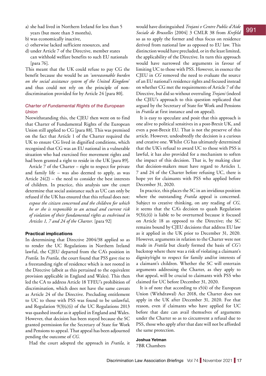- a) she had lived in Northern Ireland for less than 5 years (but more than 3 months),
- b) was economically inactive,
- c) otherwise lacked sufficient resources, and
- d) under Article 7 of the Directive, member states can withhold welfare benefits to such EU nationals [para 76].

This meant that the UK could refuse to pay CG the benefit because she would be an *'unreasonable burden on the social assistance system of the United Kingdom*' and thus could not rely on the principle of nondiscrimination provided for by Article 24 [para 80].

### *Charter of Fundamental Rights of the European Union*

Notwithstanding this, the CJEU then went on to find that Charter of Fundamental Rights of the European Union still applied to CG [para 88]. This was premised on the fact that Article 1 of the Charter required the UK to ensure CG lived in dignified conditions, which recognised that CG was an EU national in a vulnerable situation who had exercised free movement rights and had been granted a right to reside in the UK [para 89].

Article 7 of the Charter – right to respect for private and family life – was also deemed to apply, as was Article  $24(2)$  – the need to consider the best interests of children. In practice, this analysis saw the court determine that social assistance such as UC can only be refused if the UK has ensured that this refusal does not: *expose the citizen concerned and the children for which* 

*he or she is responsible to an actual and current risk of violation of their fundamental rights as enshrined in Articles 1, 7 and 24 of the Charter.* [para 92]

### **Practical implications**

In determining that Directive 2004/38 applied so as to render the UC Regulations in Northern Ireland lawful, the CJEU departed from the CA's position in *Fratila.* In *Fratila,* the court found that PSS gave rise to a freestanding right of residence which is not rooted in the Directive (albeit as this pertained to the equivalent provision applicable in England and Wales). This then led the CA to address Article 18 TFEU's prohibition of discrimination, which does not have the same caveats as Article 24 of the Directive. Precluding entitlement to UC to those with PSS was found to be unlawful, and Regulation 9(3)(c)(i) of the UC Regulations 2013 was quashed insofar as it applied in England and Wales. However, that decision has been stayed because the SC granted permission for the Secretary of State for Work and Pensions to appeal. That appeal has been adjourned pending the outcome of *CG.* 

Had the court adopted the approach in *Fratila,* it

would have distinguished *Trojani v Centre Public d'Aide Sociale de Bruxelles* [2004] 3 CMLR 38 from *Krefeld*  so as to apply the former and thus focus on residence derived from national law as opposed to EU law. This distinction would have precluded, or in the least limited, the applicability of the Directive. In turn this approach would have narrowed the arguments in favour of limiting UC to those with PSS. However, in essence the CJEU in *CG* removed the need to evaluate the source of an EU national's residence rights and focused instead on whether CG met the requirements of Article 7 of the Directive, but did so without overruling *Trojani* (indeed the CJEU's approach to this question replicated that argued by the Secretary of State for Work and Pensions in *Fratila* at first instance and on appeal).

It is easy to speculate and posit that this approach is one alive to political sensitives in a post-Brexit UK, and even a post-Brexit EU. That is not the preserve of this article. However, undoubtedly the decision is a curious and creative one. Whilst *CG* has ultimately determined that the UK's refusal to award UC to those with PSS is lawful, it has also provided for a mechanism to soften the impact of this decision. That is, by making clear that decision-makers must have regard to Articles 1, 7 and 24 of the Charter before refusing UC, there is hope yet for claimants with PSS who applied before December 31, 2020.

In practice, this places the SC in an invidious position where the outstanding *Fratila* appeal is concerned. Subject to creative thinking, on any reading of *CG,*  it seems that the CA's decision to quash Regulation  $9(3)(c)(i)$  is liable to be overturned because it focused on Article 18 as opposed to the Directive; the SC remains bound by CJEU decisions that address EU law as it applied in the UK prior to December 31, 2020. However, arguments in relation to the Charter were not made in *Fratila* but clearly formed the basis of *CG's*  backstop where there was a risk of violating a claimant's dignity/right to respect for family and/or interests of a claimant's children. Whether the SC will entertain arguments addressing the Charter, as they apply to that appeal, will be crucial to claimants with PSS who claimed for UC before December 31, 2020.

It is of note that according to s5(4) of the European Union (Withdrawal) Act 2018, the Charter does not apply in the UK after December 31, 2020. For that reason, even if claimants who have applied for UC before that date can avail themselves of arguments under the Charter so as to circumvent a refusal due to PSS, those who apply after that date will not be afforded the same protection.

**Joshua Yetman** 7BR Chambers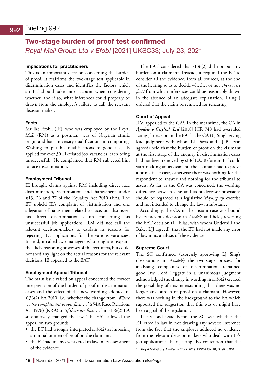# <span id="page-17-0"></span>Two-stage burden of proof test confirmed *Royal Mail Group Ltd v Efobi* [2021] UKSC33; July 23, 2021

### **Implications for practitioners**

This is an important decision concerning the burden of proof. It reaffirms the two-stage test applicable in discrimination cases and identifies the factors which an ET should take into account when considering whether, and if so, what inferences could properly be drawn from the employer's failure to call the relevant decision-maker.

### **Facts**

Mr Ike Efobi, (IE), who was employed by the Royal Mail (RM) as a postman, was of Nigerian ethnic origin and had university qualifications in computing. Wishing to put his qualifications to good use, IE applied for over 30 IT-related job vacancies, each being unsuccessful. He complained that RM subjected him to race discrimination.

### **Employment Tribunal**

IE brought claims against RM including direct race discrimination, victimisation and harassment under ss13, 26 and 27 of the Equality Act 2010 (EA). The ET upheld IE's complaint of victimisation and one allegation of harassment related to race, but dismissed his direct discrimination claim concerning his unsuccessful job applications. RM did not call the relevant decision-makers to explain its reasons for rejecting IE's applications for the various vacancies. Instead, it called two managers who sought to explain the likely reasoning processes of the recruiters, but could not shed any light on the actual reasons for the relevant decisions. IE appealed to the EAT.

### **Employment Appeal Tribunal**

The main issue raised on appeal concerned the correct interpretation of the burden of proof in discrimination cases and the effect of the new wording adopted in s136(2) EA 2010, i.e., whether the change from *'Where … the complainant proves facts …'* (s54A Race Relations Act 1976) (RRA) to *'If there are facts …'* in s136(2) EA substantively changed the law. The EAT allowed the appeal on two grounds:

- the ET had wrongly interpreted s136(2) as imposing an initial burden of proof on the claimant;
- the ET had in any event erred in law in its assessment of the evidence.

The EAT considered that s136(2) did not put any burden on a claimant. Instead, it required the ET to consider all the evidence, from all sources, at the end of the hearing so as to decide whether or not *'there were facts'* from which inferences could be reasonably drawn in the absence of an adequate explanation. Laing J ordered that the claim be remitted for rehearing.

### **Court of Appeal**

RM appealed to the CA<sup>1</sup>. In the meantime, the CA in *Ayodele v Citylink Ltd* [2018] ICR 748 had overruled Laing J's decision in the EAT. The CA (LJ Singh giving lead judgment with whom LJ Davis and LJ Beatson agreed) held that the burden of proof on the claimant at the first stage of the enquiry in discrimination cases had not been removed by s136 EA. Before an ET could start making an assessment, the claimant had to prove a prima facie case, otherwise there was nothing for the respondent to answer and nothing for the tribunal to assess. As far as the CA was concerned, the wording difference between s136 and its predecessor provisions should be regarded as a legislative *'tidying up'* exercise and not intended to change the law in substance.

Accordingly, the CA in the instant case was bound by its previous decision in *Ayodele* and held, reversing the EAT decision (LJ Elias, with whom Underhill and Baker LJJ agreed), that the ET had not made any error of law in its analysis of the evidence.

### **Supreme Court**

The SC confirmed (expressly approving LJ Sing's observations in *Ayodele*) the two-stage process for analysing complaints of discrimination remained good law. Lord Leggatt in a unanimous judgment acknowledged the change in wording in s136(2) created the possibility of misunderstanding that there was no longer any burden of proof on a claimant. However, there was nothing in the background to the EA which supported the suggestion that this was or might have been a goal of the legislation.

The second issue before the SC was whether the ET erred in law in not drawing any adverse inference from the fact that the employer adduced no evidence from the relevant decision-makers who dealt with IE's job applications. In rejecting IE's contention that the

<sup>1</sup> *Royal Mail Group Limited v Efobi* [2019] EWCA Civ 18; Briefing 901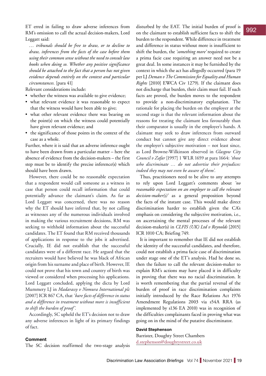ET erred in failing to draw adverse inferences from RM's omission to call the actual decision-makers, Lord Leggatt said:

*… tribunals should be free to draw, or to decline to draw, inferences from the facts of the case before them using their common sense without the need to consult law books when doing so. Whether any positive significance should be attached to the fact that a person has not given evidence depends entirely on the context and particular circumstances.* [para 41]

Relevant considerations include:

- whether the witness was available to give evidence;
- what relevant evidence it was reasonable to expect that the witness would have been able to give;
- what other relevant evidence there was bearing on the point(s) on which the witness could potentially have given relevant evidence; and
- the significance of those points in the context of the case as a whole.

Further, where it is said that an adverse inference ought to have been drawn from a particular matter – here the absence of evidence from the decision-makers – the first step must be to identify the precise inference(s) which should have been drawn.

However, there could be no reasonable expectation that a respondent would call someone as a witness in case that person could recall information that could potentially advance the claimant's claim. As far as Lord Leggatt was concerned, there was no reason why the ET should have inferred that, by not calling as witnesses any of the numerous individuals involved in making the various recruitment decisions, RM was seeking to withhold information about the successful candidates. The ET found that RM received thousands of applications in response to the jobs it advertised. Crucially, IE did not establish that the successful candidates were of a different race. He argued that the recruiters would have believed he was black of African origin from his surname and place of birth. However, IE could not prove that his town and country of birth was viewed or considered when processing his applications. Lord Leggatt concluded, applying the dicta by Lord Mummery LJ in *Madarassy v Nomura International plc*  [2007] ICR 867 CA, that *'bare facts of difference in status and a difference in treatment without more is insufficient to shift the burden of proof'.*

Accordingly, SC upheld the ET's decision not to draw any adverse inferences in light of its primary findings of fact.

disturbed by the EAT. The initial burden of proof is on the claimant to establish sufficient facts to shift the burden to the respondent. While difference in treatment and difference in status without more is insufficient to shift the burden, the *'something more'* required to create a prima facie case requiring an answer need not be a great deal. In some instances it may be furnished by the context in which the act has allegedly occurred (para 19 per LJ *Deman v The Commission for Equality and Human Rights* [2010] EWCA Civ 1279). If the claimant does not discharge that burden, their claim must fail. If such facts are proved, the burden moves to the respondent to provide a non-discriminatory explanation. The rationale for placing the burden on the employer at the second stage is that the relevant information about the reasons for treating the claimant less favourably than their comparator is usually in the employer's hands. A claimant may seek to draw inferences from outward conduct but cannot give any direct evidence about the employer's subjective motivation – not least since, as Lord Browne-Wilkinson observed in *Glasgow City Council v Zafar* [1997] 1 WLR 1659 at para 1664: *'those who discriminate … do not advertise their prejudices: indeed they may not even be aware of them'.*

Thus, practitioners need to be alive to any attempts to rely upon Lord Leggatt's comments about *'no reasonable expectation on an employer to call the relevant decision-maker(s)'* as a general proposition beyond the facts of the instant case. This would make direct discrimination harder to establish given the CA's emphasis on considering the subjective motivation, i.e., on ascertaining the mental processes of the relevant decision-maker(s) in *CLFIS (UK) Ltd v Reynolds* [2015] ICR 1010 CA; Briefing 749.

It is important to remember that IE did not establish the identity of the successful candidates, and therefore, could not establish a prima facie case of discrimination under stage one of the ET's analysis. Had he done so, then the failure to call the relevant decision-maker to explain RM's actions may have placed it in difficulty in proving that there was no racial discrimination. It is worth remembering that the partial reversal of the burden of proof in race discrimination complaints initially introduced by the Race Relations Act 1976 Amendment Regulations 2003 via s54A RRA (as implemented by s136 EA 2010) was in recognition of the difficulties complainants faced in proving what was going on in the mind of the putative discriminator.

### **David Stephenson**

Barrister, Doughty Street Chambers [d.stephenson@doughtystreet.co.uk](mailto:d.stephenson@doughtystreet.co.uk)

### **Comment**

The SC decision reaffirmed the two-stage analysis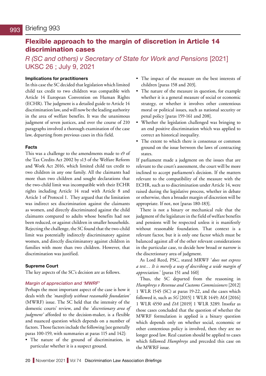# <span id="page-19-0"></span>Flexible approach to the margin of discretion in Article 14 discrimination cases

*R (SC and others) v Secretary of State for Work and Pensions* [2021] UKSC 26 ; July 9, 2021

### **Implications for practitioners**

In this case the SC decided that legislation which limited child tax credit to two children was compatible with Article 14 European Convention on Human Rights (ECHR). The judgment is a detailed guide to Article 14 discrimination law, and will now be the leading authority in the area of welfare benefits. It was the unanimous judgment of seven justices, and over the course of 210 paragraphs involved a thorough examination of the case law, departing from previous cases in this field.

### **Facts**

This was a challenge to the amendments made to s9 of the Tax Credits Act 2002 by s13 of the Welfare Reform and Work Act 2016, which limited child tax credit to two children in any one family. All the claimants had more than two children and sought declarations that the two-child limit was incompatible with their ECHR rights including Article 14 read with Article 8 and Article 1 of Protocol 1. They argued that the limitation was indirect sex discrimination against the claimants as women, and directly discriminated against the child claimants compared to adults whose benefits had not been reduced, or against children in smaller households. Rejecting the challenge, the SC found that the two-child limit was potentially indirectly discriminatory against women, and directly discriminatory against children in families with more than two children. However, that discrimination was justified.

### **Supreme Court**

The key aspects of the SC's decision are as follows.

### *Margin of appreciation and 'MWRF'*

Perhaps the most important aspect of the case is how it deals with the *'manifestly without reasonable foundation'*  (MWRF) issue. The SC held that the intensity of the domestic courts' review, and the *'discretionary area of judgment'* afforded to the decision-maker, is a flexible and nuanced question which depends on a number of factors. Those factors include the following [see generally paras 100-159, with summaries at paras 115 and 142]:

• The nature of the ground of discrimination, in particular whether it is a suspect ground.

- The impact of the measure on the best interests of children [paras 158 and 203].
- The nature of the measure in question, for example whether it is a general measure of social or economic strategy, or whether it involves other contentious moral or political issues, such as national security or penal policy [paras 159-161 and 208].
- Whether the legislation challenged was bringing to an end positive discrimination which was applied to correct an historical inequality.
- The extent to which there is consensus or common ground on the issue between the laws of contracting states.

If parliament made a judgment on the issues that are relevant to the court's assessment, the court will be more inclined to accept parliament's decision. If the matters relevant to the compatibility of the measure with the ECHR, such as to discrimination under Article 14, were raised during the legislative process, whether in debate or otherwise, then a broader margin of discretion will be appropriate. If not, not [paras 180-183].

There is not a binary or mechanical rule that the judgment of the legislature in the field of welfare benefits and pensions will be respected unless it is manifestly without reasonable foundation. That context is a relevant factor, but it is only one factor which must be balanced against all of the other relevant considerations in the particular case, to decide how broad or narrow is the discretionary area of judgment.

As Lord Reed, PSC, stated MRWF '*does not express a test… It is merely a way of describing a wide margin of appreciation.*' [paras 151 and 160]

Thus, the SC departed from the reasoning in *Humphreys v Revenue and Customs Commissioners* [2012] 1 WLR 1545 (SC) at paras 19-22, and the cases which followed it, such as *SG* [2015] 1 WLR 1449*; MA* [2016] 1 WLR 4550 and *DA* [2019] 1 WLR 3289. Insofar as those cases concluded that the question of whether the MWRF formulation is applied is a binary question which depends only on whether social, economic or other contentious policy is involved, then they are no longer good law. Real caution should be applied to cases which followed *Humphreys* and preceded this case on the MWRF issue*.*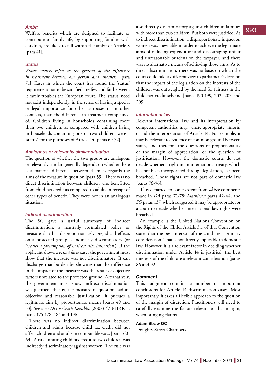Welfare benefits which are designed to facilitate or contribute to family life, by supporting families with children, are likely to fall within the ambit of Article 8 [para 41].

### *Status*

'*Status merely refers to the ground of the difference in treatment between one person and another.*' [para 71] Cases in which the court has found the 'status' requirement not to be satisfied are few and far between: it rarely troubles the European court. The 'status' need not exist independently, in the sense of having a special or legal importance for other purposes or in other contexts, than the difference in treatment complained of. Children living in households containing more than two children, as compared with children living in households containing one or two children, were a 'status' for the purposes of Article 14 [paras 69-72].

### *Analogous or relevantly similar situation*

The question of whether the two groups are analogous or relevantly similar generally depends on whether there is a material difference between them as regards the aims of the measure in question [para 59]. There was no direct discrimination between children who benefitted from child tax credit as compared to adults in receipt of other types of benefit. They were not in an analogous situation.

### *Indirect discrimination*

The SC gave a useful summary of indirect discrimination: a neutrally formulated policy or measure that has disproportionately prejudicial effects on a protected group is indirectly discriminatory (or *'creates a presumption of indirect discrimination'*). If the applicant shows a *prima facie* case, the government must show that the measure was not discriminatory. It can discharge that burden by showing that the difference in the impact of the measure was the result of objective factors unrelated to the protected ground. Alternatively, the government must show indirect discrimination was justified: that is, the measure in question had an objective and reasonable justification: it pursues a legitimate aim by proportionate means [paras 49 and 53]. See also *DH v Czech Republic* (2008) 47 EHRR 3, paras 175-178, 184 and 196.

There was no indirect discrimination between children and adults because child tax credit did not affect children and adults in comparable ways [paras 60- 63]. A rule limiting child tax credit to two children was indirectly discriminatory against women. The rule was

Ambit<br>
Welfare hanglite which are designed to feellitate are with more than two children But both were justified As with more than two children. But both were justified. As to indirect discrimination, a disproportionate impact on women was inevitable in order to achieve the legitimate aims of reducing expenditure and discouraging unfair and unreasonable burdens on the taxpayer, and there was no alternative means of achieving those aims. As to direct discrimination, there was no basis on which the court could take a different view to parliament's decision that the impact of the legislation on the interests of the children was outweighed by the need for fairness in the child tax credit scheme [paras 190-199, 202, 203 and 209].

### *International law*

Relevant international law and its interpretation by competent authorities may, where appropriate, inform or aid the interpretation of Article 14. For example, it may be relevant to evidence of common ground between states, and therefore the questions of proportionality or the margin of appreciation, or the question of justification. However, the domestic courts do not decide whether a right in an international treaty, which has not been incorporated through legislation, has been breached. Those rights are not part of domestic law [paras 76-96].

This departed to some extent from *obiter* comments made in *DA* paras 71-78; *Mathieson* paras 42-44; and *SG* paras 137, which suggested it may be appropriate for a court to decide whether international law rights were breached.

An example is the United Nations Convention on the Rights of the Child. Article 3.1 of that Convention states that the best interests of the child are a primary consideration. That is not directly applicable in domestic law. However, it is a relevant factor in deciding whether discrimination under Article 14 is justified: the best interests of the child are a relevant consideration [paras 86 and 92].

### **Comment**

This judgment contains a number of important conclusions for Article 14 discrimination cases. Most importantly, it takes a flexible approach to the question of the margin of discretion. Practitioners will need to carefully examine the factors relevant to that margin, when bringing claims.

### **Adam Straw QC**

Doughty Street Chambers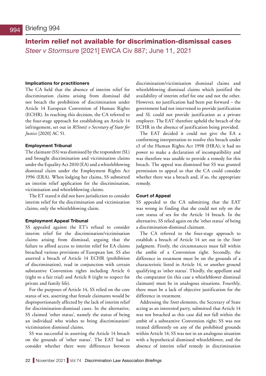<span id="page-21-0"></span>Interim relief not available for discrimination-dismissal cases *Steer v Stormsure* [2021] EWCA Civ 887; June 11, 2021

### **Implications for practitioners**

The CA held that the absence of interim relief for discrimination claims arising from dismissal did not breach the prohibition of discrimination under Article 14 European Convention of Human Rights (ECHR). In reaching this decision, the CA referred to the four-stage approach for establishing an Article 14 infringement, set out in *R(Stott) v Secretary of State for Justice* [2020] AC 51.

### **Employment Tribunal**

The claimant (SS) was dismissed by the respondent (SL) and brought discrimination and victimisation claims under the Equality Act 2010 (EA) and a whistleblowing dismissal claim under the Employment Rights Act 1996 (ERA). When lodging her claims, SS submitted an interim relief application for the discrimination, victimisation and whistleblowing claims.

The ET stated it did not have jurisdiction to consider interim relief for the discrimination and victimisation claims, only the whistleblowing claim.

### **Employment Appeal Tribunal**

SS appealed against the ET's refusal to consider interim relief for the discrimination/victimisation claims arising from dismissal, arguing that the failure to afford access to interim relief for EA claims breached various provisions of European law. SS also asserted a breach of Article 14 ECHR (prohibition of discrimination), read in conjunction with certain substantive Convention rights including Article 6 (right to a fair trial) and Article 8 (right to respect for private and family life).

For the purposes of Article 14, SS relied on the core status of sex, asserting that female claimants would be disproportionately affected by the lack of interim relief for discrimination-dismissal cases. In the alternative, SS claimed 'other status', namely the status of being an individual who wishes to bring discrimination/ victimisation dismissal claims.

SS was successful in asserting the Article 14 breach on the grounds of 'other status'. The EAT had to consider whether there were differences between

discrimination/victimisation dismissal claims and whistleblowing dismissal claims which justified the availability of interim relief for one and not the other. However, no justification had been put forward – the government had not intervened to provide justification and SL could not provide justification as a private employer. The EAT therefore upheld the breach of the ECHR in the absence of justification being provided.

The EAT decided it could not give the EA a conforming interpretation to resolve this breach under s3 of the Human Rights Act 1998 (HRA); it had no power to make a declaration of incompatibility and was therefore was unable to provide a remedy for this breach. The appeal was dismissed but SS was granted permission to appeal so that the CA could consider whether there was a breach and, if so, the appropriate remedy.

### **Court of Appeal**

SS appealed to the CA submitting that the EAT was wrong in finding that she could not rely on the core status of sex for the Article 14 breach. In the alternative, SS relied again on the 'other status' of being a discrimination-dismissal claimant.

The CA referred to the four-stage approach to establish a breach of Article 14 set out in the *Stott*  judgment. Firstly, the circumstances must fall within the ambit of a Convention right. Secondly, the difference in treatment must be on the grounds of a characteristic listed in Article 14, or another ground qualifying as 'other status'. Thirdly, the appellant and the comparator (in this case a whistleblower dismissal claimant) must be in analogous situations. Fourthly, there must be a lack of objective justification for the difference in treatment.

Addressing the *Stott* elements, the Secretary of State acting as an interested party, submitted that Article 14 was not breached as this case did not fall within the ambit of a substantive Convention right; SS was not treated differently on any of the prohibited grounds within Article 14; SS was not in an analogous situation with a hypothetical dismissed whistleblower, and the absence of interim relief remedy in discrimination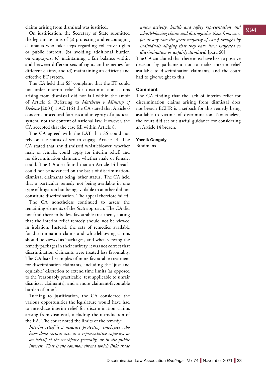claims arising from dismissal was justified.

On justification, the Secretary of State submitted the legitimate aims of (a) protecting and encouraging claimants who take steps regarding collective rights or public interest, (b) avoiding additional burden on employers, (c) maintaining a fair balance within and between different sets of rights and remedies for different claims, and (d) maintaining an efficient and effective ET system.

The CA held that SS' complaint that the ET could not order interim relief for discrimination claims arising from dismissal did not fall within the ambit of Article 6. Referring to *Matthews v Ministry of Defence* [2003] 1 AC 1163 the CA stated that Article 6 concerns procedural fairness and integrity of a judicial system, not the content of national law. However, the CA accepted that the case fell within Article 8.

The CA agreed with the EAT that SS could not rely on the status of sex to engage Article 14. The CA stated that any dismissed whistleblower, whether male or female, could apply for interim relief, and no discrimination claimant, whether male or female, could. The CA also found that an Article 14 breach could not be advanced on the basis of discriminationdismissal claimants being 'other status'. The CA held that a particular remedy not being available in one type of litigation but being available in another did not constitute discrimination. The appeal therefore failed.

The CA nonetheless continued to assess the remaining elements of the *Stott* approach. The CA did not find there to be less favourable treatment, stating that the interim relief remedy should not be viewed in isolation. Instead, the sets of remedies available for discrimination claims and whistleblowing claims should be viewed as 'packages', and when viewing the remedy packages in their entirety, it was not correct that discrimination claimants were treated less favourably. The CA listed examples of more favourable treatment for discrimination claimants, including the 'just and equitable' discretion to extend time limits (as opposed to the 'reasonably practicable' test applicable to unfair dismissal claimants), and a more claimant-favourable burden of proof.

Turning to justification, the CA considered the various opportunities the legislature would have had to introduce interim relief for discrimination claims arising from dismissal, including the introduction of the EA. The court noted the limits of the remedy:

*Interim relief is a measure protecting employees who have done certain acts in a representative capacity, or on behalf of the workforce generally, or in the public interest. That is the common thread which links trade* 

*union activity, health and safety representation and whistleblowing claims and distinguishes them from cases (or at any rate the great majority of cases) brought by individuals alleging that they have been subjected to discrimination or unfairly dismissed.* [para 60]

The CA concluded that there must have been a positive decision by parliament not to make interim relief available to discrimination claimants, and the court had to give weight to this.

### **Comment**

The CA finding that the lack of interim relief for discrimination claims arising from dismissal does not breach ECHR is a setback for this remedy being available to victims of discrimination. Nonetheless, the court did set out useful guidance for considering an Article 14 breach.

### **Yavnik Ganguly**

Bindmans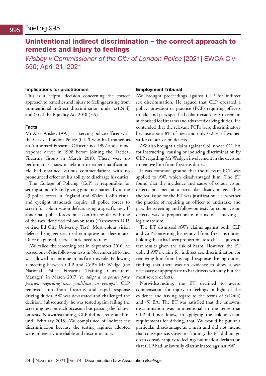# <span id="page-23-0"></span>Unintentional indirect discrimination – the correct approach to remedies and injury to feelings

*Wisbey v Commissioner of the City of London Police* [2021] EWCA Civ 650; April 21, 2021

### **Implications for practitioners**

This is a helpful decision concerning the correct approach to remedies and injury to feelings arising from unintentional indirect discrimination under ss124(4) and (5) of the Equality Act 2010 (EA).

### **Facts**

Mr Alex Wisbey (AW) is a serving police officer with the City of London Police (CLP) who had trained as an Authorised Firearms Officer since 1997 and a rapid response driver in 1998 before joining the Tactical Firearms Group in March 2010. There were no performance issues in relation to either qualification. He had obtained various commendations with no pronounced effect on his ability to discharge his duties.

The College of Policing (CoP) is responsible for setting standards and giving guidance nationally to the 43 police forces in England and Wales. CoP's visual and eyesight standards require all police forces to screen for colour vision defects using a specific test. If abnormal, police forces must confirm results with one of the two identified follow-on tests (Farnsworth D:15 or 2nd Ed City University Test). Most colour vision defects, being genetic, neither improve nor deteriorate. Once diagnosed, there is little need to retest.

AW failed the screening test in September 2016; he passed one of the follow-on tests in November 2016 and was allowed to continue in his firearms role. Following a meeting between CLP and CoP's Mr Wedge (the National Police Firearms Training Curriculum Manager) in March 2017 *'to adopt a corporate force position regarding new guidelines on eyesight'*, CLP removed him from firearms and rapid response driving duties. AW was devastated and challenged the decision. Subsequently, he was tested again, failing the screening test on each occasion but passing the followon tests. Notwithstanding, CLP did not reinstate him until February 2018. AW complained of indirect sex discrimination because the testing regimes adopted were inherently unreliable and discriminatory.

### **Employment Tribunal**

AW brought proceedings against CLP for indirect sex discrimination. He argued that CLP operated a policy, provision or practice (PCP) requiring officers to take and pass specified colour vision tests to remain authorised for firearms and advanced driving duties. He contended that the relevant PCPs were discriminatory because about 8% of men and only 0.25% of women suffer colour vision defects.

AW also brought a claim against CoP under s111 EA for instructing, causing or inducing discrimination by CLP regarding Mr Wedge's involvement in the decision to remove him from firearms duties.

It was common ground that the relevant PCP was applied to AW, which disadvantaged him. The ET found that the incidence and cause of colour vision defects put men at a particular disadvantage. Thus the real issue for the ET was justification, i.e. whether the practice of requiring an officer to undertake and pass the screening and follow-on tests for colour vision defects was a proportionate means of achieving a legitimate aim.

The ET dismissed AW's claims against both CLP and CoP concerning his removal from firearms duties, holding that it had been proportionate to check equivocal test results given the risk of harm. However, the ET upheld AW's claim for indirect sex discrimination for removing him from his rapid response driving duties, finding that there was no evidence to show it was necessary or appropriate to bar drivers with any but the most severe defects.

Notwithstanding, the ET declined to award compensation for injury to feelings in light of the evidence and having regard to the terms of ss124(4) and (5) EA. The ET was satisfied that the unlawful discrimination was unintentional in the sense that CLP did not know, in applying the colour vision requirements for driving, that AW would be put at a particular disadvantage as a man and did not intend that consequence. Given its finding, the ET did not go on to consider injury to feelings but made a declaration that CLP had unlawfully discriminated against AW.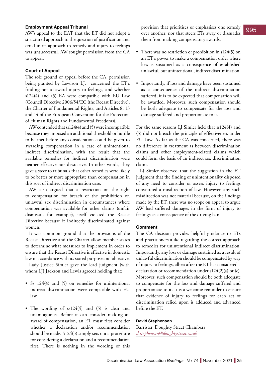### **Employment Appeal Tribunal**

AW's appeal to the EAT that the ET did not adopt a structured approach to the question of justification and erred in its approach to remedy and injury to feelings was unsuccessful. AW sought permission from the CA to appeal.

### **Court of Appeal**

The sole ground of appeal before the CA, permission being granted by Lewison LJ, concerned the ET's finding not to award injury to feelings, and whether s124(4) and (5) EA were compatible with EU Law (Council Directive 2006/54/EC (the Recast Directive), the Charter of Fundamental Rights, and Articles 8, 13 and 14 of the European Convention for the Protection of Human Rights and Fundamental Freedoms).

AW contended that ss124(4) and (5) were incompatible because they imposed an additional threshold or hurdle to be met before any consideration could be given to awarding compensation in a case of unintentional indirect discrimination, with the result that the available remedies for indirect discrimination were neither effective nor dissuasive. In other words, they gave a steer to tribunals that other remedies were likely to be better or more appropriate than compensation in this sort of indirect discrimination case.

AW also argued that a restriction on the right to compensation for breach of the prohibition on unlawful sex discrimination in circumstances where compensation was available for other claims (unfair dismissal, for example), itself violated the Recast Directive because it indirectly discriminated against women.

It was common ground that the provisions of the Recast Directive and the Charter allow member states to determine what measures to implement in order to ensure that the Recast Directive is effective in domestic law in accordance with its stated purpose and objective.

Lady Justice Simler gave the lead judgment (with whom LJJ Jackson and Lewis agreed) holding that:

- Ss 124(4) and (5) on remedies for unintentional indirect discrimination were compatible with EU law.
- The wording of ss124(4) and (5) is clear and unambiguous. Before it can consider making an award of compensation, an ET must first consider whether a declaration and/or recommendation should be made. S124(5) simply sets out a procedure for considering a declaration and a recommendation first. There is nothing in the wording of this

provision that prioritises or emphasises one remedy over another, nor that steers ETs away or dissuades them from making compensatory awards.

- There was no restriction or prohibition in s124(5) on an ET's power to make a compensation order where loss is sustained as a consequence of established unlawful, but unintentional, indirect discrimination.
- Importantly, if loss and damage have been sustained as a consequence of the indirect discrimination suffered, it is to be expected that compensation will be awarded. Moreover, such compensation should be both adequate to compensate for the loss and damage suffered and proportionate to it.

For the same reasons LJ Simler held that ss124(4) and (5) did not breach the principle of effectiveness under EU Law. As far as the CA was concerned, there was no difference in treatment as between discrimination claims and other employment-related claims which could form the basis of an indirect sex discrimination claim.

LJ Simler observed that the suggestion in the ET judgment that the finding of unintentionality disposed of any need to consider or assess injury to feelings constituted a misdirection of law. However, any such misdirection was not material because, on the findings made by the ET, there was no scope on appeal to argue AW had suffered damages in the form of injury to feelings as a consequence of the driving ban.

### **Comment**

The CA decision provides helpful guidance to ETs and practitioners alike regarding the correct approach to remedies for unintentional indirect discrimination. Importantly, any loss or damage sustained as a result of unlawful discrimination should be compensated by way of injury to feelings, albeit after the ET has considered a declaration or recommendation under s124(2)(a) or (c). Moreover, such compensation should be both adequate to compensate for the loss and damage suffered and proportionate to it. It is a welcome reminder to ensure that evidence of injury to feelings for each act of discrimination relied upon is adduced and advanced before the ET.

### **David Stephenson**

Barrister, Doughty Street Chambers *d.stephenson@doughtystreet.co.uk*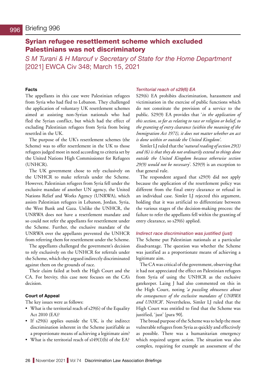# <span id="page-25-0"></span>Syrian refugee resettlement scheme which excluded Palestinians was not discriminatory

*S M Turani & H Marouf v Secretary of State for the Home Department*  [2021] EWCA Civ 348; March 15, 2021

### **Facts**

The appellants in this case were Palestinian refugees from Syria who had fled to Lebanon. They challenged the application of voluntary UK resettlement schemes aimed at assisting non-Syrian nationals who had fled the Syrian conflict, but which had the effect of excluding Palestinian refugees from Syria from being resettled in the UK.

The purpose of the UK's resettlement schemes (the Scheme) was to offer resettlement in the UK to those refugees judged most in need according to criteria set by the United Nations High Commissioner for Refugees (UNHCR).

The UK government chose to rely exclusively on the UNHCR to make referrals under the Scheme. However, Palestinian refugees from Syria fell under the exclusive mandate of another UN agency, the United Nations Relief and Works Agency (UNRWA), which assists Palestinian refugees in Lebanon, Jordan, Syria, the West Bank and Gaza. Unlike the UNHCR, the UNRWA does not have a resettlement mandate and so could not refer the appellants for resettlement under the Scheme. Further, the exclusive mandate of the UNRWA over the appellants prevented the UNHCR from referring them for resettlement under the Scheme.

The appellants challenged the government's decision to rely exclusively on the UNHCR for referrals under the Scheme, which they argued indirectly discriminated against them on the grounds of race.

Their claim failed at both the High Court and the CA. For brevity, this case note focuses on the CA's decision.

### **Court of Appeal**

The key issues were as follows:

- What is the territorial reach of s29(6) of the Equality Act 2010 (EA)?
- If s29(6) applies outside the UK, is the indirect discrimination inherent in the Scheme justifiable as a proportionate means of achieving a legitimate aim?
- What is the territorial reach of s149(1)(b) of the EA?

### *Territorial reach of s29(6) EA*

S29(6) EA prohibits discrimination, harassment and victimisation in the exercise of public functions which do not constitute the provision of a service to the public. S29(9) EA provides that '*in the application of this section, so far as relating to race or religion or belief, to the granting of entry clearance (within the meaning of the Immigration Act 1971), it does not matter whether an act is done within or outside the United Kingdom'*.

Simler LJ ruled that the '*natural reading of section 29(1) and (6) is that they do not ordinarily extend to things done outside the United Kingdom because otherwise section 29(9) would not be necessary*'. S29(9) is an exception to that general rule.

The respondent argued that s29(9) did not apply because the application of the resettlement policy was different from the final entry clearance or refusal in an individual case. Simler LJ rejected this argument, holding that it was artificial to differentiate between the various stages of the decision-making process: the failure to refer the appellants fell within the granting of entry clearance, so s29(6) applied.

### *Indirect race discrimination was justified (just)*

The Scheme put Palestinian nationals at a particular disadvantage. The question was whether the Scheme was justified as a proportionate means of achieving a legitimate aim.

The CA was critical of the government, observing that it had not appreciated the effect on Palestinian refugees from Syria of using the UNHCR as the exclusive gatekeeper. Laing J had also commented on this in the High Court, noting '*a puzzling obtuseness about the consequences of the exclusive mandates of UNRWA and UNHCR*'. Nevertheless, Simler LJ ruled that the High Court was entitled to find that the Scheme was justified, 'just' [para 90].

The broad purpose of the Scheme was to help the most vulnerable refugees from Syria as quickly and effectively as possible. There was a humanitarian emergency which required urgent action. The situation was also complex, requiring for example an assessment of the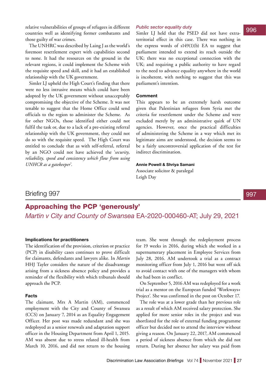<span id="page-26-0"></span>relative vulnerabilities of groups of refugees in different countries well as identifying former combatants and those guilty of war crimes.

The UNHRC was described by Laing J as the world's foremost resettlement expert with capabilities second to none. It had the resources on the ground in the relevant regions, it could implement the Scheme with the requisite speed and skill, and it had an established relationship with the UK government.

Simler LJ upheld the High Court's finding that there were no less intrusive means which could have been adopted by the UK government without unacceptably compromising the objective of the Scheme. It was not tenable to suggest that the Home Office could send officials to the region to administer the Scheme. As for other NGOs, those identified either could not fulfil the task or, due to a lack of a pre-existing referral relationship with the UK government, they could not do so with the requisite speed. The High Court was entitled to conclude that as with self-referral, referral by an NGO could not have achieved the '*security, reliability, speed and consistency which flow from using UNHCR as a gatekeeper*'.

### *Public sector equality duty*

Simler LJ held that the PSED did not have extraterritorial effect in this case. There was nothing in the express words of  $s149(1)(b)$  EA to suggest that parliament intended to extend its reach outside the UK; there was no exceptional connection with the UK; and requiring a public authority to have regard to the need to advance equality anywhere in the world is incoherent, with nothing to suggest that this was parliament's intention.

### **Comment**

This appears to be an extremely harsh outcome given that Palestinian refugees from Syria met the criteria for resettlement under the Scheme and were excluded merely by an administrative quirk of UN agencies. However, once the practical difficulties of administering the Scheme in a way which met its legitimate aims are understood, the decision seems to be a fairly uncontroversial application of the test for indirect discrimination.

### **Annie Powell & Shriya Samani**

Associate solicitor & paralegal Leigh Day

### Briefing 997

# Approaching the PCP 'generously'

*Martin v City and County of Swansea* EA-2020-000460-AT; July 29, 2021

### **Implications for practitioners**

The identification of the provision, criterion or practice (PCP) in disability cases continues to prove difficult for claimants, defendants and lawyers alike. In *Martin* HHJ Tayler considers the nature of the disadvantage arising from a sickness absence policy and provides a reminder of the flexibility with which tribunals should approach the PCP.

### **Facts**

The claimant, Mrs A Martin (AM), commenced employment with the City and County of Swansea (CCS) on January 7, 2014 as an Equality Engagement Officer. Her post was made redundant and she was redeployed as a senior renewals and adaptation support officer in the Housing Department from April 1, 2015. AM was absent due to stress related ill-health from March 10, 2016, and did not return to the housing

team. She went through the redeployment process for 19 weeks in 2016, during which she worked in a supernumerary placement in Employee Services from July 28, 2016. AM undertook a trial as a contract monitoring officer from July 1, 2016 but went off sick to avoid contact with one of the managers with whom she had been in conflict.

On September 5, 2016 AM was redeployed for a work trial as a mentor on the European funded 'Workways+ Project'. She was confirmed in the post on October 17.

The role was at a lower grade than her previous role as a result of which AM received salary protection. She applied for more senior roles in the project and was shortlisted for the role of external funding programme officer but decided not to attend the interview without giving a reason. On January 22, 2017, AM commenced a period of sickness absence from which she did not return. During her absence her salary was paid from 997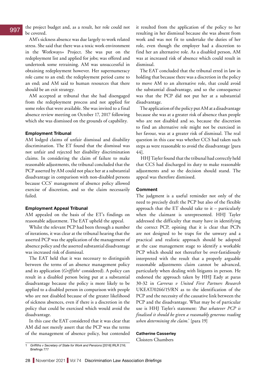the project budget and, as a result, her role could not be covered.

AM's sickness absence was due largely to work related stress. She said that there was a toxic work environment in the Workways+ Project. She was put on the redeployment list and applied for jobs; was offered and undertook some retraining. AM was unsuccessful in obtaining redeployment however. Her supernumeracy role came to an end; the redeployment period came to an end; and AM said to human resources that there should be an exit strategy.

AM accepted at tribunal that she had disengaged from the redeployment process and not applied for some roles that were available. She was invited to a final absence review meeting on October 17, 2017 following which she was dismissed on the grounds of capability.

### **Employment Tribunal**

AM lodged claims of unfair dismissal and disability discrimination. The ET found that the dismissal was not unfair and rejected her disability discrimination claims. In considering the claim of failure to make reasonable adjustments, the tribunal concluded that the PCP asserted by AM could not place her at a substantial disadvantage in comparison with non-disabled persons because CCS' management of absence policy allowed exercise of discretion, and so the claim necessarily failed.

### **Employment Appeal Tribunal**

AM appealed on the basis of the ET's findings on reasonable adjustment. The EAT upheld the appeal.

Whilst the relevant PCP had been through a number of iterations, it was clear at the tribunal hearing that the asserted PCP was the application of the management of absence policy and the asserted substantial disadvantage was increased risk of dismissal.

The EAT held that it was necessary to distinguish between the terms of an absence management policy and its application (*Griffiths*<sup>1</sup> considered). A policy can result in a disabled person being put at a substantial disadvantage because the policy is more likely to be applied to a disabled person in comparison with people who are not disabled because of the greater likelihood of sickness absences, even if there is a discretion in the policy that could be exercised which would avoid the disadvantage.

In this case the EAT considered that it was clear that AM did not merely assert that the PCP was the terms of the management of absence policy, but contended

it resulted from the application of the policy to her resulting in her dismissal because she was absent from work and was not fit to undertake the duties of her role, even though the employer had a discretion to find her an alternative role. As a disabled person, AM was at increased risk of absence which could result in dismissal.

The EAT concluded that the tribunal erred in law in holding that because there was a discretion in the policy to move AM to an alternative role, that could avoid the substantial disadvantage, and so the consequence was that the PCP did not put her at a substantial disadvantage.

The application of the policy put AM at a disadvantage because she was at a greater risk of absence than people who are not disabled and so, because the discretion to find an alternative role might not be exercised in her favour, was at a greater risk of dismissal. The real question in this case was whether CCS had taken such steps as were reasonable to avoid the disadvantage [para 44].

 HHJ Tayler found that the tribunal had correctly held that CCS had discharged its duty to make reasonable adjustments and so the decision should stand. The appeal was therefore dismissed.

### **Comment**

The judgment is a useful reminder not only of the need to precisely draft the PCP but also of the flexible approach that the ET should take to it – particularly when the claimant is unrepresented. HHJ Tayler addressed the difficulty that many have in identifying the correct PCP, opining that it is clear that PCPs are not designed to be traps for the unwary and a practical and realistic approach should be adopted at the case management stage to identify a workable PCP which should not thereafter be over-fastidiously interpreted with the result that a properly arguable reasonable adjustments claim cannot be advanced, particularly when dealing with litigants in person. He endorsed the approach taken by HHJ Eady at paras 30-32 in *Carreras v United First Partners Research* UKEAT/0266/15/RN as to the identification of the PCP and the necessity of the causative link between the PCP and the disadvantage. What may be of particular use is HHJ Tayler's statement: '*But whatever PCP is finalised it should be given a reasonably generous reading when determining the claim*.' [para 19]

### **Catherine Casserley**

Cloisters Chambers

<sup>1</sup> *Griffiths v Secretary of State for Work and Pensions* [2016] IRLR 216; Briefings 777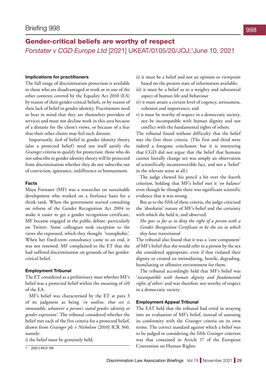# <span id="page-28-0"></span>Gender-critical beliefs are worthy of respect *Forstater v CGD Europe Ltd* [2021] UKEAT/0105/20/JOJ;1 June 10, 2021

### **Implications for practitioners**

The full range of discrimination protection is available to those who are disadvantaged at work or in one of the other contexts covered by the Equality Act 2010 (EA) by reason of their gender-critical beliefs, or by reason of their lack of belief in gender identity. Practitioners need to bear in mind that they are themselves providers of services and must not decline work in this area because of a distaste for the client's views, or because of a fear that their other clients may feel such distaste.

Importantly, *lack* of belief in gender identity theory (also a protected belief) need not itself satisfy the *Grainger* criteria to qualify for protection: those who do not subscribe to gender identity theory will be protected from discrimination whether they do not subscribe out of conviction, ignorance, indifference or bemusement.

### **Facts**

Maya Forstater (MF) was a researcher on sustainable development who worked on a freelance basis for a think tank. When the government started consulting on reform of the Gender Recognition Act 2004 to make it easier to get a gender recognition certificate, MF became engaged in the public debate, particularly on Twitter. Some colleagues took exception to the views she expressed, which they thought 'transphobic'. When her fixed-term consultancy came to an end, it was not renewed. MF complained to the ET that she had suffered discrimination on grounds of her gendercritical belief.

### **Employment Tribunal**

The ET considered as a preliminary issue whether MF's belief was a protected belief within the meaning of s10 of the EA.

MF's belief was characterised by the ET at para 3 of its judgment as being '*in outline, that sex is immutable, whatever a person's stated gender identity or gender expression'*. The tribunal considered whether the belief met each of the five criteria for a protected belief, drawn from *Grainger plc v Nicholson* [2010] ICR 360, namely:

i) the belief must be genuinely held;

- ii) it must be a belief and not an opinion or viewpoint based on the present state of information available;
- iii) it must be a belief as to a weighty and substantial aspect of human life and behaviour
- iv) it must attain a certain level of cogency, seriousness, cohesion and importance; and
- v) it must be worthy of respect in a democratic society, not be incompatible with human dignity and not conflict with the fundamental rights of others.

The tribunal found without difficulty that the belief met the first three criteria. (The first and third were indeed a foregone conclusion, but it is interesting that CGD did not argue that the belief that humans cannot literally change sex was simply an observation of scientifically incontrovertible fact, and not a 'belief' in the relevant sense at all.)

The judge chewed his pencil a bit over the fourth criterion, holding that MF's belief met it '*on balance'* even though he thought there was significant scientific evidence that it was wrong.

But as to the fifth of these criteria, the judge criticised the 'absolutist' nature of MF's belief and the certainty with which she held it, and observed:

*She goes so far as to deny the right of a person with a Gender Recognition Certificate to be the sex to which they have transitioned.*

The tribunal also found that it was a 'core component' of MF's belief that she would refer to a person by the sex she considered appropriate, even if that violated their dignity or created an intimidating, hostile, degrading, humiliating or offensive environment for them.

The tribunal accordingly held that MF's belief was '*incompatible with human dignity and fundamental rights of others'* and was therefore not worthy of respect in a democratic society.

### **Employment Appeal Tribunal**

The EAT held that the tribunal had erred in straying into an evaluation of MF's belief, instead of assessing its conformity with the *Grainger* criteria on its own terms. The correct standard against which a belief was to be judged in considering the fifth *Grainger* criterion was that contained in Article 17 of the European T. [2021] IRLR 706 Convention on Human Rights: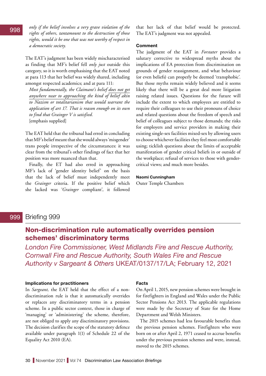<span id="page-29-0"></span>*only if the belief involves a very grave violation of the rights of others, tantamount to the destruction of those rights, would it be one that was not worthy of respect in a democratic society.*

The EAT's judgment has been widely mischaracterised as finding that MF's belief fell *only just* outside this category, so it is worth emphasising that the EAT noted at para 113 that her belief was widely shared, including amongst respected academics; and at para 111:

*Most fundamentally, the Claimant's belief does not get anywhere near to approaching the kind of belief akin to Nazism or totalitarianism that would warrant the application of art 17. That is reason enough on its own to find that Grainger V is satisfied.* [emphasis supplied]

The EAT held that the tribunal had erred in concluding that MF's belief meant that she would always 'misgender' trans people irrespective of the circumstances: it was clear from the tribunal's other findings of fact that her position was more nuanced than that.

Finally, the ET had also erred in approaching MF's lack of 'gender identity belief' on the basis that the lack of belief must independently meet the *Grainger* criteria. If the positive belief which she lacked was '*Grainger* compliant', it followed

that her lack of that belief would be protected. The EAT's judgment was not appealed.

### **Comment**

The judgment of the EAT in *Forstater* provides a salutary corrective to widespread myths about the implications of EA protection from discrimination on grounds of gender reassignment, and what behaviour (or even beliefs) can properly be deemed 'transphobic'. But those myths remain widely believed and it seems likely that there will be a great deal more litigation raising related issues. Questions for the future will include the extent to which employees are entitled to require their colleagues to use their pronouns of choice and related questions about the freedom of speech and belief of colleagues subject to those demands; the risks for employers and service providers in making their existing single-sex facilities mixed-sex by allowing users to choose whichever facilities they feel most comfortable using; ticklish questions about the limits of acceptable manifestation of gender critical beliefs in or outside of the workplace; refusal of services to those with gendercritical views; and much more besides.

### **Naomi Cunningham**

Outer Temple Chambers

### Briefing 999 999

# Non-discrimination rule automatically overrides pension schemes' discriminatory terms

*London Fire Commissioner, West Midlands Fire and Rescue Authority, Cornwall Fire and Rescue Authority, South Wales Fire and Rescue Authority v Sargeant & Others* UKEAT/0137/17/LA; February 12, 2021

### **Implications for practitioners**

In *Sargeant,* the EAT held that the effect of a nondiscrimination rule is that it automatically overrides or replaces any discriminatory terms in a pension scheme. In a public sector context, those in charge of 'managing' or 'administering' the scheme, therefore, are not obliged to apply any discriminatory provisions. The decision clarifies the scope of the statutory defence available under paragraph 1(1) of Schedule 22 of the Equality Act 2010 (EA).

### **Facts**

On April 1, 2015, new pension schemes were brought in for firefighters in England and Wales under the Public Sector Pensions Act 2013. The applicable regulations were made by the Secretary of State for the Home Department and Welsh Ministers.

The 2015 schemes had less favourable benefits than the previous pension schemes. Firefighters who were born on or after April 2, 1971 ceased to accrue benefits under the previous pension schemes and were, instead, moved to the 2015 schemes.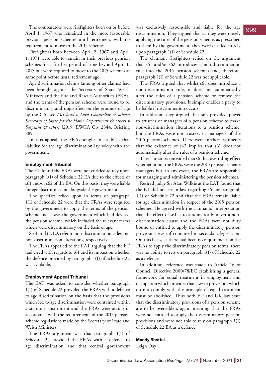The comparators were firefighters born on or before April 1, 1967 who remained in the more favourable previous pension schemes until retirement, with no requirement to move to the 2015 schemes.

Firefighters born between April 2, 1967 and April 1, 1971 were able to remain in their previous pension schemes for a further period of time beyond April 1, 2015 but were required to move to the 2015 schemes at some point before usual retirement age.

Age discrimination claims (among other claims) had been brought against the Secretary of State, Welsh Ministers and the Fire and Rescue Authorities (FRAs) and the terms of the pension scheme were found to be discriminatory and unjustified on the grounds of age by the CA; see *McCloud v Lord Chancellor & others; Secretary of State for the Home Department & others v Sargeant & others* [2019] EWCA Civ 2844*;* Briefing 889.

In this appeal, the FRAs sought to establish that liability for the age discrimination lay solely with the government.

### **Employment Tribunal**

The ET found the FRAs were not entitled to rely upon paragraph 1(1) of Schedule 22 EA due to the effects of s61 and/or s62 of the EA. On this basis, they were liable for age discrimination alongside the government.

The specifics relied upon in terms of paragraph 1(1) of Schedule 22 were that the FRAs were required by the government to apply the terms of the pension scheme and it was the government which had devised the pension scheme, which included the relevant terms which were discriminatory on the basis of age.

Ss61 and 62 EA refer to non-discrimination rules and non-discrimination alterations, respectively.

The FRAs appealed to the EAT arguing that the ET had erred with regards to s61 and its impact on whether the defence provided by paragraph 1(1) of Schedule 22 was available.

### **Employment Appeal Tribunal**

The EAT was asked to consider whether paragraph 1(1) of Schedule 22 provided the FRAs with a defence to age discrimination on the basis that the provisions which led to age discrimination were contained within a statutory instrument and the FRAs were acting in accordance with the requirements of the 2015 pension scheme regulations made by the Secretary of State and Welsh Ministers.

The FRAs argument was that paragraph 1(1) of Schedule 22 provided the FRAs with a defence to age discrimination and that central government

was exclusively responsible and liable for the age discrimination. They argued that as they were merely applying the rules of the pension scheme, as prescribed to them by the government, they were entitled to rely upon paragraph 1(1) of Schedule 22.

The claimant firefighters relied on the argument that s61 and/or s62 introduces a non-discrimination rule into the 2015 pension schemes and, therefore, paragraph 1(1) of Schedule 22 was not applicable.

The FRAs argued that whilst s61 does introduce a non-discrimination rule, it does not automatically alter the rules of a pension scheme or remove the discriminatory provisions. It simply enables a party to be liable if discrimination occurs.

In addition, they argued that s62 provided power to trustees or managers of a pension scheme to make non-discrimination alterations to a pension scheme, but the FRAs were not trustees or managers of the 2015 pension schemes. There were further arguments that the existence of s62 implies that s61 does not automatically alter the rules of a pension scheme.

The claimants contended that s61 has overriding effect whether or not the FRAs were the 2015 pension scheme managers but, in any event, the FRAs are responsible for managing and administering the pension schemes.

Retired judge Sir Alan Wilkie at the EAT found that the ET did not err in law regarding s61 or paragraph 1(1) of Schedule 22 and that the FRAs remain liable for age discrimination in respect of the 2015 pension schemes. He agreed with the claimants' interpretation that the effect of s61 is to automatically insert a nondiscrimination clause and the FRAs were not duty bound or entitled to apply the discriminatory pension provisions, even if contained in secondary legislation. On this basis, as there had been no requirement on the FRAs to apply the discriminatory pension terms, there was no ability to rely on paragraph 1(1) of Schedule 22 as a defence.

In addition, reference was made to Article 16 of Council Directive 2000/78/EC establishing a general framework for equal treatment in employment and occupation which provides that laws or provisions which do not comply with the principle of equal treatment must be abolished. Thus both EU and UK law state that the discriminatory provisions of a pension scheme are to be overridden, again meaning that the FRAs were not entitled to apply the discriminatory pension provisions and were not able to rely on paragraph 1(1) of Schedule 22 EA as a defence.

### **Mandy Bhattal**

Leigh Day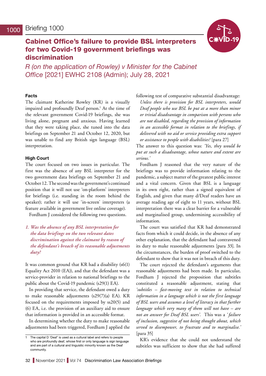# <span id="page-31-0"></span>Cabinet Office's failure to provide BSL interpreters for two Covid-19 government briefings was discrimination

*R (on the application of Rowley) v Minister for the Cabinet Office* [2021] EWHC 2108 (Admin); July 28, 2021

### **Facts**

The claimant Katherine Rowley (KR) is a visually impaired and profoundly Deaf person.<sup>1</sup> At the time of the relevant government Covid-19 briefings, she was living alone, pregnant and anxious. Having learned that they were taking place, she tuned into the data briefings on September 21 and October 12, 2020, but was unable to find any British sign language (BSL) interpretation.

### **High Court**

The court focused on two issues in particular. The first was the absence of any BSL interpreter for the two government data briefings on September 21 and October 12. The second was the government's continued position that it will not use 'on-platform' interpreters for briefings (i.e. standing in the room behind the speaker); rather it will use 'in-screen' interpreters (a feature available in government live online coverage).

Fordham J considered the following two questions.

*1. Was the absence of any BSL interpretation for the data briefings on the two relevant dates discrimination against the claimant by reason of the defendant's breach of its reasonable adjustments duty?*

It was common ground that KR had a disability (s6(1) Equality Act 2010 (EA)), and that the defendant was a service-provider in relation to national briefings to the public about the Covid-19 pandemic (s29(1) EA).

In providing that service, the defendant owed a duty to make reasonable adjustments (s29(7)(a) EA). KR focused on the requirements imposed by ss20(5) and (6) EA, i.e. the provision of an auxiliary aid to ensure that information is provided in an accessible format.

In determining whether the duty to make reasonable adjustments had been triggered, Fordham J applied the following test of comparative substantial disadvantage: *Unless there is provision for BSL interpreters, would Deaf people who use BSL be put at a more than minor or trivial disadvantage in comparison with persons who are not disabled, regarding the provision of information in an accessible format in relation to the briefings, if delivered with no aid or service providing extra support or assistance to people with disabilities?* [para 27]

The answer to this question was: *'Yes, they would be put at such a disadvantage, whose nature and extent are serious.'*

Fordham J reasoned that the very nature of the briefings was to provide information relating to the pandemic, a subject matter of the greatest public interest and a vital concern. Given that BSL is a language in its own right, rather than a signed equivalent of English, and given that many d/Deaf readers have an average reading age of eight to 11 years, without BSL interpretation there was a clear barrier for a vulnerable and marginalised group, undermining accessibility of information.

The court was satisfied that KR had demonstrated facts from which it could decide, in the absence of any other explanation, that the defendant had contravened its duty to make reasonable adjustments [para 33]. In the circumstances, the burden of proof switched to the defendant to show that it was not in breach of this duty.

The court rejected the defendant's arguments that reasonable adjustments had been made. In particular, Fordham J rejected the proposition that subtitles constituted a reasonable adjustment, stating that *'subtitles – fast-moving text in relation to technical information in a language which is not the first language of BSL users and assumes a level of literacy in that further language which very many of them will not have – are not an answer for Deaf BSL users'.* This was a *' failure of inclusion, suggestive of not being thought about, which served to disempower, to frustrate and to marginalise.'*  [para 35]

KR's evidence that she could not understand the subtitles was sufficient to show that she had suffered

The capital D 'Deaf' is used as a cultural label and refers to people who are profoundly deaf, whose first or only language is sign language and are part of a cultural and linguistic minority known as the Deaf community.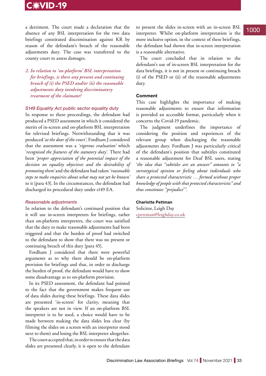# C:VID-19

a detriment. The court made a declaration that the absence of any BSL interpretation for the two data briefings constituted discrimination against KR by reason of the defendant's breach of the reasonable adjustments duty. The case was transferred to the county court to assess damages.

*2. In relation to 'on-platform' BSL interpretation for briefings, is there any present and continuing breach of (i) the PSED and/or (ii) the reasonable adjustments duty involving discriminatory treatment of the claimant?*

### *S149 Equality Act public sector equality duty*

In response to these proceedings, the defendant had produced a PSED assessment in which it considered the merits of in-screen and on-platform BSL interpretation for televised briefings. Notwithstanding that it was produced '*at the door of the court'*, Fordham J considered that the assessment was a *'rigorous evaluation'* which '*recognised the features of the statutory duty'.* There had been *'proper appreciation of the potential impact of the decision on equality objectives and the desirability of promoting them'* and the defendant had taken *'reasonable steps to make enquiries about what may not yet be known'*  to it [para 43]. In the circumstances, the defendant had discharged its procedural duty under s149 EA.

### *Reasonable adjustments*

In relation to the defendant's continued position that it will use in-screen interpreters for briefings, rather than on-platform interpreters, the court was satisfied that the duty to make reasonable adjustments had been triggered and that the burden of proof had switched to the defendant to show that there was no present or continuing breach of this duty [para 45].

Fordham J considered that there were powerful arguments as to why there should be on-platform provision for briefings and that, in order to discharge the burden of proof, the defendant would have to show some disadvantage as to on-platform provision.

In its PSED assessment, the defendant had pointed to the fact that the government makes frequent use of data slides during these briefings. These data slides are presented 'in-screen' for clarity, meaning that the speakers are not in view. If an on-platform BSL interpreter is to be used, a choice would have to be made between making the data slides less clear (by filming the slides on a screen with an interpreter stood next to them) and losing the BSL interpreter altogether.

The court accepted that, in order to ensure that the data slides are presented clearly, it is open to the defendant to present the slides in-screen with an in-screen BSL interpreter. Whilst on-platform interpretation is the more inclusive option, in the context of these briefings, the defendant had shown that in-screen interpretation is a reasonable alternative.

The court concluded that in relation to the defendant's use of in-screen BSL interpretation for the data briefings, it is not in present or continuing breach (i) of the PSED or (ii) of the reasonable adjustments duty.

### **Comment**

This case highlights the importance of making reasonable adjustments to ensure that information is provided an accessible format, particularly when it concerns the Covid-19 pandemic.

The judgment underlines the importance of considering the position and experiences of the relevant group when discharging the reasonable adjustments duty. Fordham J was particularly critical of the defendant's position that subtitles constituted a reasonable adjustment for Deaf BSL users, stating '*the idea that "subtitles are an answer" amounts to "a stereotypical opinion or feeling about individuals who share a protected characteristic … formed without proper knowledge of people with that protected characteristic" and thus constitutes "prejudice*'''.

### **Charlotte Pettman**

Solicitor, Leigh Day [cpettman@leighday.co.uk](mailto:cpettman@leighday.co.uk)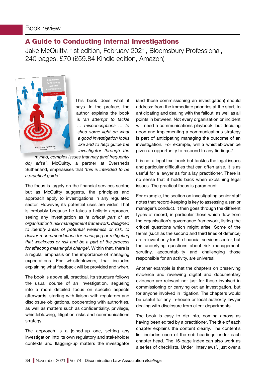# <span id="page-33-0"></span>A Guide to Conducting Internal Investigations

Jake McQuitty, 1st edition, February 2021, Bloomsbury Professional, 240 pages, £70 (£59.84 Kindle edition, Amazon)



This book does what it says. In the preface, the author explains the book is *'an attempt to tackle … misconceptions … to shed some light on what a good investigation looks like and to help guide the investigator through the* 

*myriad, complex issues that may (and frequently do) arise'*. McQuitty, a partner at Eversheds Sutherland, emphasises that '*this is intended to be a practical guide'.*

The focus is largely on the financial services sector, but as McQuitty suggests, the principles and approach apply to investigations in any regulated sector. However, its potential uses are wider. That is probably because he takes a holistic approach, seeing any investigation as *'a critical part of an organisation's risk management framework, designed to identify areas of potential weakness or risk, to deliver recommendations for managing or mitigating that weakness or risk and be a part of the process for effecting meaningful change'*. Within that, there is a regular emphasis on the importance of managing expectations. For whistleblowers, that includes explaining what feedback will be provided and when.

The book is above all, practical. Its structure follows the usual course of an investigation, segueing into a more detailed focus on specific aspects afterwards, starting with liaison with regulators and disclosure obligations, cooperating with authorities, as well as matters such as confidentiality, privilege, whistleblowing, litigation risks and communications strategy.

The approach is a joined-up one, setting any investigation into its own regulatory and stakeholder contexts and flagging-up matters the investigator (and those commissioning an investigation) should address: from the immediate priorities at the start, to anticipating and dealing with the fallout, as well as all points in between. Not every organisation or incident will need a communications playbook, but deciding upon and implementing a communications strategy is part of anticipating managing the outcome of an investigation. For example, will a whistleblower be given an opportunity to respond to any findings?

It is not a legal text-book but tackles the legal issues and particular difficulties that can often arise. It is as useful for a lawyer as for a lay practitioner. There is no sense that it holds back when explaining legal issues. The practical focus is paramount.

For example, the section on investigating senior staff notes that record-keeping is key to assessing a senior manager's conduct. It then goes through the different types of record, in particular those which flow from the organisation's governance framework, listing the critical questions which might arise. Some of the terms (such as the second and third lines of defence) are relevant only for the financial services sector, but the underlying questions about risk management, scrutiny, accountability and challenging those responsible for an activity, are universal.

Another example is that the chapters on preserving evidence and reviewing digital and documentary evidence are relevant not just for those involved in commissioning or carrying out an investigation, but for anyone involved in litigation. The chapters would be useful for any in-house or local authority lawyer dealing with disclosure from client departments.

The book is easy to dip into, coming across as having been edited by a practitioner. The title of each chapter explains the content clearly. The content's list includes each of the sub-headings under each chapter head. The 16-page index can also work as a series of checklists. Under 'interviews', just over a